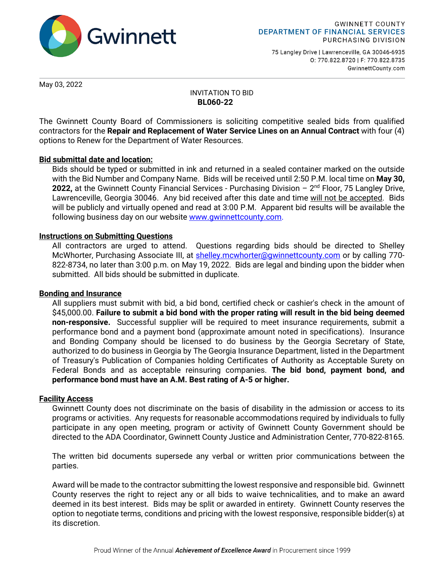

75 Langley Drive | Lawrenceville, GA 30046-6935 0: 770.822.8720 | F: 770.822.8735 GwinnettCounty.com

May 03, 2022

## INVITATION TO BID **BL060-22**

The Gwinnett County Board of Commissioners is soliciting competitive sealed bids from qualified contractors for the **Repair and Replacement of Water Service Lines on an Annual Contract** with four (4) options to Renew for the Department of Water Resources.

## **Bid submittal date and location:**

Bids should be typed or submitted in ink and returned in a sealed container marked on the outside with the Bid Number and Company Name. Bids will be received until 2:50 P.M. local time on **May 30,**  2022, at the Gwinnett County Financial Services - Purchasing Division - 2<sup>nd</sup> Floor, 75 Langley Drive, Lawrenceville, Georgia 30046. Any bid received after this date and time will not be accepted. Bids will be publicly and virtually opened and read at 3:00 P.M. Apparent bid results will be available the following business day on our website www.qwinnettcounty.com.

## **Instructions on Submitting Questions**

All contractors are urged to attend. Questions regarding bids should be directed to Shelley McWhorter, Purchasing Associate III, at [shelley.mcwhorter@gwinnettcounty.com](mailto:shelley.mcwhorter@gwinnettcounty.com) or by calling 770-822-8734, no later than 3:00 p.m. on May 19, 2022. Bids are legal and binding upon the bidder when submitted. All bids should be submitted in duplicate.

## **Bonding and Insurance**

All suppliers must submit with bid, a bid bond, certified check or cashier's check in the amount of \$45,000.00. **Failure to submit a bid bond with the proper rating will result in the bid being deemed non-responsive.** Successful supplier will be required to meet insurance requirements, submit a performance bond and a payment bond (approximate amount noted in specifications). Insurance and Bonding Company should be licensed to do business by the Georgia Secretary of State, authorized to do business in Georgia by The Georgia Insurance Department, listed in the Department of Treasury's Publication of Companies holding Certificates of Authority as Acceptable Surety on Federal Bonds and as acceptable reinsuring companies. **The bid bond, payment bond, and performance bond must have an A.M. Best rating of A-5 or higher.** 

## **Facility Access**

Gwinnett County does not discriminate on the basis of disability in the admission or access to its programs or activities. Any requests for reasonable accommodations required by individuals to fully participate in any open meeting, program or activity of Gwinnett County Government should be directed to the ADA Coordinator, Gwinnett County Justice and Administration Center, 770-822-8165.

The written bid documents supersede any verbal or written prior communications between the parties.

Award will be made to the contractor submitting the lowest responsive and responsible bid. Gwinnett County reserves the right to reject any or all bids to waive technicalities, and to make an award deemed in its best interest. Bids may be split or awarded in entirety. Gwinnett County reserves the option to negotiate terms, conditions and pricing with the lowest responsive, responsible bidder(s) at its discretion.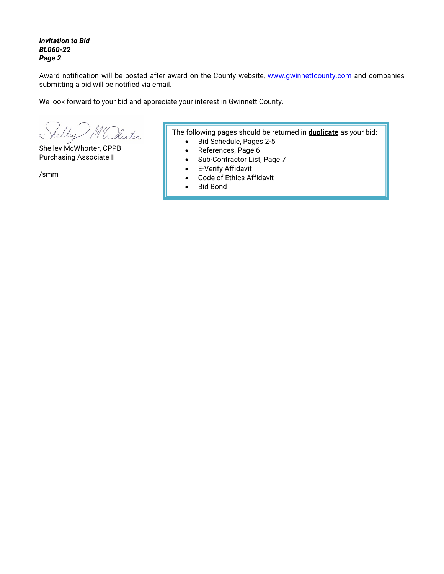*Invitation to Bid BL060-22 Page 2*

Award notification will be posted after award on the County website, [www.gwinnettcounty.com](http://www.gwinnettcounty.com/) and companies submitting a bid will be notified via email.

We look forward to your bid and appreciate your interest in Gwinnett County.

ley M'Dhorter

Shelley McWhorter, CPPB Purchasing Associate III

/smm

The following pages should be returned in **duplicate** as your bid:

- Bid Schedule, Pages 2-5
- References, Page 6
- Sub-Contractor List, Page 7
- E-Verify Affidavit
- Code of Ethics Affidavit
- Bid Bond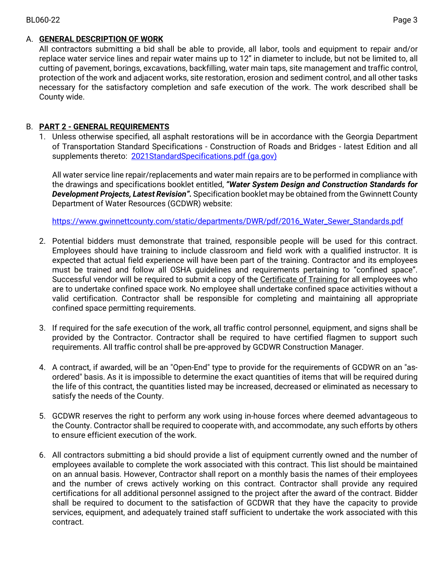## BL060-22 Page 3

## A. **GENERAL DESCRIPTION OF WORK**

All contractors submitting a bid shall be able to provide, all labor, tools and equipment to repair and/or replace water service lines and repair water mains up to 12" in diameter to include, but not be limited to, all cutting of pavement, borings, excavations, backfilling, water main taps, site management and traffic control, protection of the work and adjacent works, site restoration, erosion and sediment control, and all other tasks necessary for the satisfactory completion and safe execution of the work. The work described shall be County wide.

# B. **PART 2 - GENERAL REQUIREMENTS**

1. Unless otherwise specified, all asphalt restorations will be in accordance with the Georgia Department of Transportation Standard Specifications - Construction of Roads and Bridges - latest Edition and all supplements thereto: [2021StandardSpecifications.pdf \(ga.gov\)](http://www.dot.ga.gov/PartnerSmart/Business/Source/specs/2021StandardSpecifications.pdf)

All water service line repair/replacements and water main repairs are to be performed in compliance with the drawings and specifications booklet entitled, *"Water System Design and Construction Standards for Development Projects, Latest Revision".* Specification booklet may be obtained from the Gwinnett County Department of Water Resources (GCDWR) website:

[https://www.gwinnettcounty.com/static/departments/DWR/pdf/2016\\_Water\\_Sewer\\_Standards.pdf](https://www.gwinnettcounty.com/static/departments/DWR/pdf/2016_Water_Sewer_Standards.pdf)

- 2. Potential bidders must demonstrate that trained, responsible people will be used for this contract. Employees should have training to include classroom and field work with a qualified instructor. It is expected that actual field experience will have been part of the training. Contractor and its employees must be trained and follow all OSHA guidelines and requirements pertaining to "confined space". Successful vendor will be required to submit a copy of the Certificate of Training for all employees who are to undertake confined space work. No employee shall undertake confined space activities without a valid certification. Contractor shall be responsible for completing and maintaining all appropriate confined space permitting requirements.
- 3. If required for the safe execution of the work, all traffic control personnel, equipment, and signs shall be provided by the Contractor. Contractor shall be required to have certified flagmen to support such requirements. All traffic control shall be pre-approved by GCDWR Construction Manager.
- 4. A contract, if awarded, will be an "Open-End" type to provide for the requirements of GCDWR on an "asordered" basis. As it is impossible to determine the exact quantities of items that will be required during the life of this contract, the quantities listed may be increased, decreased or eliminated as necessary to satisfy the needs of the County.
- 5. GCDWR reserves the right to perform any work using in-house forces where deemed advantageous to the County. Contractor shall be required to cooperate with, and accommodate, any such efforts by others to ensure efficient execution of the work.
- 6. All contractors submitting a bid should provide a list of equipment currently owned and the number of employees available to complete the work associated with this contract. This list should be maintained on an annual basis. However, Contractor shall report on a monthly basis the names of their employees and the number of crews actively working on this contract. Contractor shall provide any required certifications for all additional personnel assigned to the project after the award of the contract. Bidder shall be required to document to the satisfaction of GCDWR that they have the capacity to provide services, equipment, and adequately trained staff sufficient to undertake the work associated with this contract.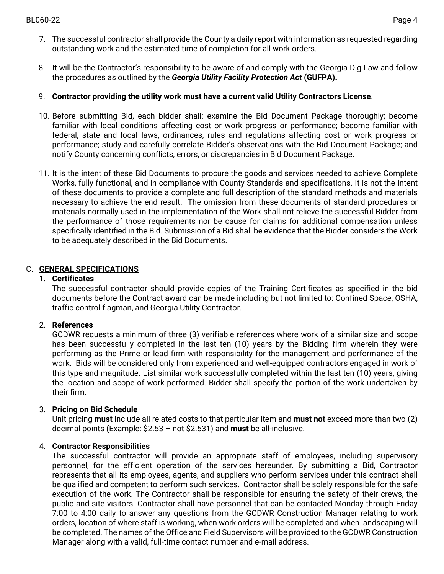- 7. The successful contractor shall provide the County a daily report with information as requested regarding outstanding work and the estimated time of completion for all work orders.
- 8. It will be the Contractor's responsibility to be aware of and comply with the Georgia Dig Law and follow the procedures as outlined by the *Georgia Utility Facility Protection Act* **(GUFPA).**
- 9. **Contractor providing the utility work must have a current valid Utility Contractors License**.
- 10. Before submitting Bid, each bidder shall: examine the Bid Document Package thoroughly; become familiar with local conditions affecting cost or work progress or performance; become familiar with federal, state and local laws, ordinances, rules and regulations affecting cost or work progress or performance; study and carefully correlate Bidder's observations with the Bid Document Package; and notify County concerning conflicts, errors, or discrepancies in Bid Document Package.
- 11. It is the intent of these Bid Documents to procure the goods and services needed to achieve Complete Works, fully functional, and in compliance with County Standards and specifications. It is not the intent of these documents to provide a complete and full description of the standard methods and materials necessary to achieve the end result. The omission from these documents of standard procedures or materials normally used in the implementation of the Work shall not relieve the successful Bidder from the performance of those requirements nor be cause for claims for additional compensation unless specifically identified in the Bid. Submission of a Bid shall be evidence that the Bidder considers the Work to be adequately described in the Bid Documents.

# C. **GENERAL SPECIFICATIONS**

## 1. **Certificates**

The successful contractor should provide copies of the Training Certificates as specified in the bid documents before the Contract award can be made including but not limited to: Confined Space, OSHA, traffic control flagman, and Georgia Utility Contractor.

# 2. **References**

GCDWR requests a minimum of three (3) verifiable references where work of a similar size and scope has been successfully completed in the last ten (10) years by the Bidding firm wherein they were performing as the Prime or lead firm with responsibility for the management and performance of the work. Bids will be considered only from experienced and well-equipped contractors engaged in work of this type and magnitude. List similar work successfully completed within the last ten (10) years, giving the location and scope of work performed. Bidder shall specify the portion of the work undertaken by their firm.

# 3. **Pricing on Bid Schedule**

Unit pricing **must** include all related costs to that particular item and **must not** exceed more than two (2) decimal points (Example: \$2.53 – not \$2.531) and **must** be all-inclusive.

# 4. **Contractor Responsibilities**

The successful contractor will provide an appropriate staff of employees, including supervisory personnel, for the efficient operation of the services hereunder. By submitting a Bid, Contractor represents that all its employees, agents, and suppliers who perform services under this contract shall be qualified and competent to perform such services. Contractor shall be solely responsible for the safe execution of the work. The Contractor shall be responsible for ensuring the safety of their crews, the public and site visitors. Contractor shall have personnel that can be contacted Monday through Friday 7:00 to 4:00 daily to answer any questions from the GCDWR Construction Manager relating to work orders, location of where staff is working, when work orders will be completed and when landscaping will be completed. The names of the Office and Field Supervisors will be provided to the GCDWR Construction Manager along with a valid, full-time contact number and e-mail address.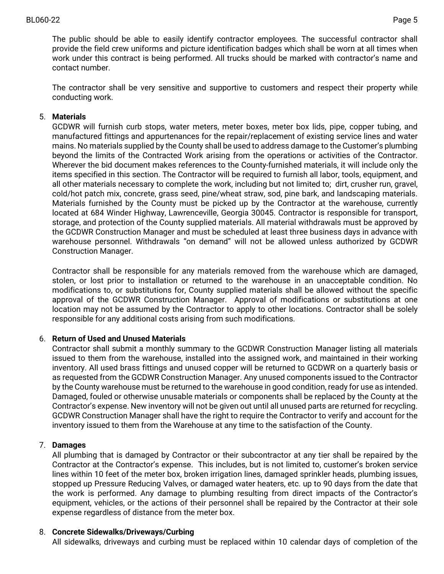The public should be able to easily identify contractor employees. The successful contractor shall provide the field crew uniforms and picture identification badges which shall be worn at all times when work under this contract is being performed. All trucks should be marked with contractor's name and contact number.

The contractor shall be very sensitive and supportive to customers and respect their property while conducting work.

## 5. **Materials**

GCDWR will furnish curb stops, water meters, meter boxes, meter box lids, pipe, copper tubing, and manufactured fittings and appurtenances for the repair/replacement of existing service lines and water mains. No materials supplied by the County shall be used to address damage to the Customer's plumbing beyond the limits of the Contracted Work arising from the operations or activities of the Contractor. Wherever the bid document makes references to the County-furnished materials, it will include only the items specified in this section. The Contractor will be required to furnish all labor, tools, equipment, and all other materials necessary to complete the work, including but not limited to; dirt, crusher run, gravel, cold/hot patch mix, concrete, grass seed, pine/wheat straw, sod, pine bark, and landscaping materials. Materials furnished by the County must be picked up by the Contractor at the warehouse, currently located at 684 Winder Highway, Lawrenceville, Georgia 30045. Contractor is responsible for transport, storage, and protection of the County supplied materials. All material withdrawals must be approved by the GCDWR Construction Manager and must be scheduled at least three business days in advance with warehouse personnel. Withdrawals "on demand" will not be allowed unless authorized by GCDWR Construction Manager.

Contractor shall be responsible for any materials removed from the warehouse which are damaged, stolen, or lost prior to installation or returned to the warehouse in an unacceptable condition. No modifications to, or substitutions for, County supplied materials shall be allowed without the specific approval of the GCDWR Construction Manager. Approval of modifications or substitutions at one location may not be assumed by the Contractor to apply to other locations. Contractor shall be solely responsible for any additional costs arising from such modifications.

## 6. **Return of Used and Unused Materials**

Contractor shall submit a monthly summary to the GCDWR Construction Manager listing all materials issued to them from the warehouse, installed into the assigned work, and maintained in their working inventory. All used brass fittings and unused copper will be returned to GCDWR on a quarterly basis or as requested from the GCDWR Construction Manager. Any unused components issued to the Contractor by the County warehouse must be returned to the warehouse in good condition, ready for use as intended. Damaged, fouled or otherwise unusable materials or components shall be replaced by the County at the Contractor's expense. New inventory will not be given out until all unused parts are returned for recycling. GCDWR Construction Manager shall have the right to require the Contractor to verify and account for the inventory issued to them from the Warehouse at any time to the satisfaction of the County.

## 7. **Damages**

All plumbing that is damaged by Contractor or their subcontractor at any tier shall be repaired by the Contractor at the Contractor's expense. This includes, but is not limited to, customer's broken service lines within 10 feet of the meter box, broken irrigation lines, damaged sprinkler heads, plumbing issues, stopped up Pressure Reducing Valves, or damaged water heaters, etc. up to 90 days from the date that the work is performed. Any damage to plumbing resulting from direct impacts of the Contractor's equipment, vehicles, or the actions of their personnel shall be repaired by the Contractor at their sole expense regardless of distance from the meter box.

## 8. **Concrete Sidewalks/Driveways/Curbing**

All sidewalks, driveways and curbing must be replaced within 10 calendar days of completion of the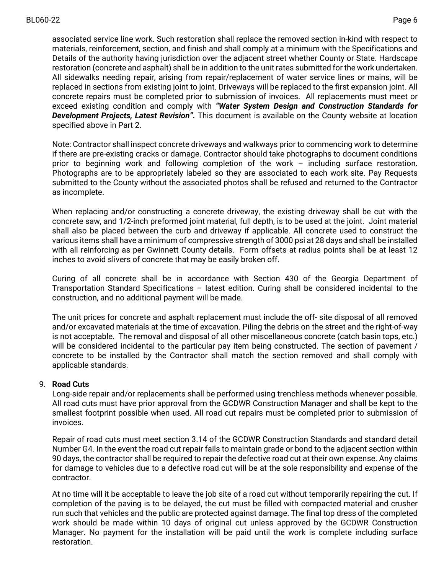associated service line work. Such restoration shall replace the removed section in-kind with respect to materials, reinforcement, section, and finish and shall comply at a minimum with the Specifications and Details of the authority having jurisdiction over the adjacent street whether County or State. Hardscape restoration (concrete and asphalt) shall be in addition to the unit rates submitted for the work undertaken. All sidewalks needing repair, arising from repair/replacement of water service lines or mains, will be replaced in sections from existing joint to joint. Driveways will be replaced to the first expansion joint. All concrete repairs must be completed prior to submission of invoices. All replacements must meet or exceed existing condition and comply with *"Water System Design and Construction Standards for Development Projects, Latest Revision".* This document is available on the County website at location specified above in Part 2.

Note: Contractor shall inspect concrete driveways and walkways prior to commencing work to determine if there are pre-existing cracks or damage. Contractor should take photographs to document conditions prior to beginning work and following completion of the work – including surface restoration. Photographs are to be appropriately labeled so they are associated to each work site. Pay Requests submitted to the County without the associated photos shall be refused and returned to the Contractor as incomplete.

When replacing and/or constructing a concrete driveway, the existing driveway shall be cut with the concrete saw, and 1/2-inch preformed joint material, full depth, is to be used at the joint. Joint material shall also be placed between the curb and driveway if applicable. All concrete used to construct the various items shall have a minimum of compressive strength of 3000 psi at 28 days and shall be installed with all reinforcing as per Gwinnett County details. Form offsets at radius points shall be at least 12 inches to avoid slivers of concrete that may be easily broken off.

Curing of all concrete shall be in accordance with Section 430 of the Georgia Department of Transportation Standard Specifications – latest edition. Curing shall be considered incidental to the construction, and no additional payment will be made.

The unit prices for concrete and asphalt replacement must include the off- site disposal of all removed and/or excavated materials at the time of excavation. Piling the debris on the street and the right-of-way is not acceptable. The removal and disposal of all other miscellaneous concrete (catch basin tops, etc.) will be considered incidental to the particular pay item being constructed. The section of pavement / concrete to be installed by the Contractor shall match the section removed and shall comply with applicable standards.

## 9. **Road Cuts**

Long-side repair and/or replacements shall be performed using trenchless methods whenever possible. All road cuts must have prior approval from the GCDWR Construction Manager and shall be kept to the smallest footprint possible when used. All road cut repairs must be completed prior to submission of invoices.

Repair of road cuts must meet section 3.14 of the GCDWR Construction Standards and standard detail Number G4. In the event the road cut repair fails to maintain grade or bond to the adjacent section within 90 days, the contractor shall be required to repair the defective road cut at their own expense. Any claims for damage to vehicles due to a defective road cut will be at the sole responsibility and expense of the contractor.

At no time will it be acceptable to leave the job site of a road cut without temporarily repairing the cut. If completion of the paving is to be delayed, the cut must be filled with compacted material and crusher run such that vehicles and the public are protected against damage. The final top dress of the completed work should be made within 10 days of original cut unless approved by the GCDWR Construction Manager. No payment for the installation will be paid until the work is complete including surface restoration.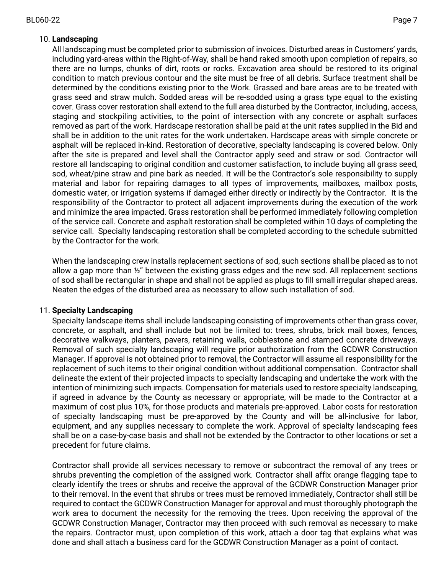# 10. **Landscaping**

All landscaping must be completed prior to submission of invoices. Disturbed areas in Customers' yards, including yard-areas within the Right-of-Way, shall be hand raked smooth upon completion of repairs, so there are no lumps, chunks of dirt, roots or rocks. Excavation area should be restored to its original condition to match previous contour and the site must be free of all debris. Surface treatment shall be determined by the conditions existing prior to the Work. Grassed and bare areas are to be treated with grass seed and straw mulch. Sodded areas will be re-sodded using a grass type equal to the existing cover. Grass cover restoration shall extend to the full area disturbed by the Contractor, including, access, staging and stockpiling activities, to the point of intersection with any concrete or asphalt surfaces removed as part of the work. Hardscape restoration shall be paid at the unit rates supplied in the Bid and shall be in addition to the unit rates for the work undertaken. Hardscape areas with simple concrete or asphalt will be replaced in-kind. Restoration of decorative, specialty landscaping is covered below. Only after the site is prepared and level shall the Contractor apply seed and straw or sod. Contractor will restore all landscaping to original condition and customer satisfaction, to include buying all grass seed, sod, wheat/pine straw and pine bark as needed. It will be the Contractor's sole responsibility to supply material and labor for repairing damages to all types of improvements, mailboxes, mailbox posts, domestic water, or irrigation systems if damaged either directly or indirectly by the Contractor. It is the responsibility of the Contractor to protect all adjacent improvements during the execution of the work and minimize the area impacted. Grass restoration shall be performed immediately following completion of the service call. Concrete and asphalt restoration shall be completed within 10 days of completing the service call. Specialty landscaping restoration shall be completed according to the schedule submitted by the Contractor for the work.

When the landscaping crew installs replacement sections of sod, such sections shall be placed as to not allow a gap more than  $\frac{1}{2}$ " between the existing grass edges and the new sod. All replacement sections of sod shall be rectangular in shape and shall not be applied as plugs to fill small irregular shaped areas. Neaten the edges of the disturbed area as necessary to allow such installation of sod.

# 11. **Specialty Landscaping**

Specialty landscape items shall include landscaping consisting of improvements other than grass cover, concrete, or asphalt, and shall include but not be limited to: trees, shrubs, brick mail boxes, fences, decorative walkways, planters, pavers, retaining walls, cobblestone and stamped concrete driveways. Removal of such specialty landscaping will require prior authorization from the GCDWR Construction Manager. If approval is not obtained prior to removal, the Contractor will assume all responsibility for the replacement of such items to their original condition without additional compensation. Contractor shall delineate the extent of their projected impacts to specialty landscaping and undertake the work with the intention of minimizing such impacts. Compensation for materials used to restore specialty landscaping, if agreed in advance by the County as necessary or appropriate, will be made to the Contractor at a maximum of cost plus 10%, for those products and materials pre-approved. Labor costs for restoration of specialty landscaping must be pre-approved by the County and will be all-inclusive for labor, equipment, and any supplies necessary to complete the work. Approval of specialty landscaping fees shall be on a case-by-case basis and shall not be extended by the Contractor to other locations or set a precedent for future claims.

Contractor shall provide all services necessary to remove or subcontract the removal of any trees or shrubs preventing the completion of the assigned work. Contractor shall affix orange flagging tape to clearly identify the trees or shrubs and receive the approval of the GCDWR Construction Manager prior to their removal. In the event that shrubs or trees must be removed immediately, Contractor shall still be required to contact the GCDWR Construction Manager for approval and must thoroughly photograph the work area to document the necessity for the removing the trees. Upon receiving the approval of the GCDWR Construction Manager, Contractor may then proceed with such removal as necessary to make the repairs. Contractor must, upon completion of this work, attach a door tag that explains what was done and shall attach a business card for the GCDWR Construction Manager as a point of contact.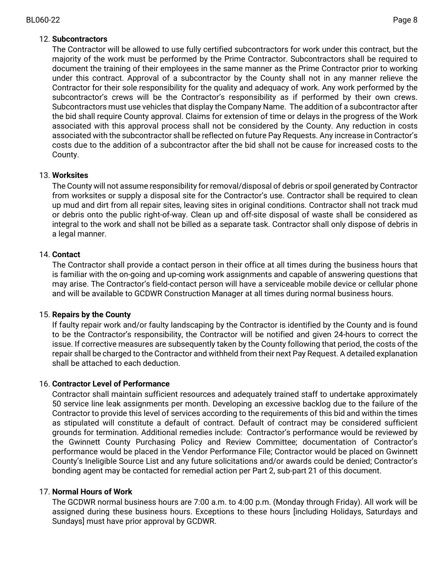## 12. **Subcontractors**

The Contractor will be allowed to use fully certified subcontractors for work under this contract, but the majority of the work must be performed by the Prime Contractor. Subcontractors shall be required to document the training of their employees in the same manner as the Prime Contractor prior to working under this contract. Approval of a subcontractor by the County shall not in any manner relieve the Contractor for their sole responsibility for the quality and adequacy of work. Any work performed by the subcontractor's crews will be the Contractor's responsibility as if performed by their own crews. Subcontractors must use vehicles that display the Company Name. The addition of a subcontractor after the bid shall require County approval. Claims for extension of time or delays in the progress of the Work associated with this approval process shall not be considered by the County. Any reduction in costs associated with the subcontractor shall be reflected on future Pay Requests. Any increase in Contractor's costs due to the addition of a subcontractor after the bid shall not be cause for increased costs to the County.

## 13. **Worksites**

The County will not assume responsibility for removal/disposal of debris or spoil generated by Contractor from worksites or supply a disposal site for the Contractor's use. Contractor shall be required to clean up mud and dirt from all repair sites, leaving sites in original conditions. Contractor shall not track mud or debris onto the public right-of-way. Clean up and off-site disposal of waste shall be considered as integral to the work and shall not be billed as a separate task. Contractor shall only dispose of debris in a legal manner.

## 14. **Contact**

The Contractor shall provide a contact person in their office at all times during the business hours that is familiar with the on-going and up-coming work assignments and capable of answering questions that may arise. The Contractor's field-contact person will have a serviceable mobile device or cellular phone and will be available to GCDWR Construction Manager at all times during normal business hours.

## 15. **Repairs by the County**

If faulty repair work and/or faulty landscaping by the Contractor is identified by the County and is found to be the Contractor's responsibility, the Contractor will be notified and given 24-hours to correct the issue. If corrective measures are subsequently taken by the County following that period, the costs of the repair shall be charged to the Contractor and withheld from their next Pay Request. A detailed explanation shall be attached to each deduction.

## 16. **Contractor Level of Performance**

Contractor shall maintain sufficient resources and adequately trained staff to undertake approximately 50 service line leak assignments per month. Developing an excessive backlog due to the failure of the Contractor to provide this level of services according to the requirements of this bid and within the times as stipulated will constitute a default of contract. Default of contract may be considered sufficient grounds for termination. Additional remedies include: Contractor's performance would be reviewed by the Gwinnett County Purchasing Policy and Review Committee; documentation of Contractor's performance would be placed in the Vendor Performance File; Contractor would be placed on Gwinnett County's Ineligible Source List and any future solicitations and/or awards could be denied; Contractor's bonding agent may be contacted for remedial action per Part 2, sub-part 21 of this document.

## 17. **Normal Hours of Work**

The GCDWR normal business hours are 7:00 a.m. to 4:00 p.m. (Monday through Friday). All work will be assigned during these business hours. Exceptions to these hours [including Holidays, Saturdays and Sundays] must have prior approval by GCDWR.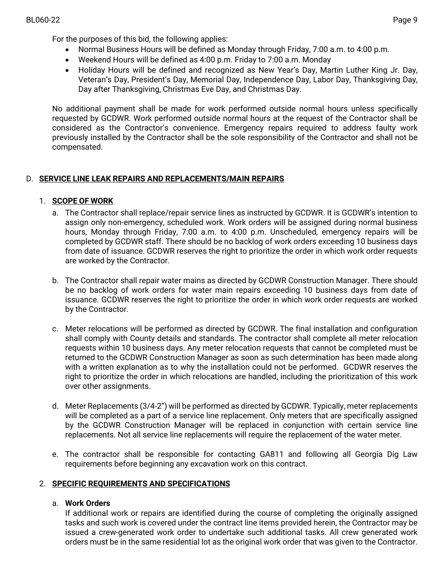For the purposes of this bid, the following applies:

- Normal Business Hours will be defined as Monday through Friday, 7:00 a.m. to 4:00 p.m.
- Weekend Hours will be defined as 4:00 p.m. Friday to 7:00 a.m. Monday
- Holiday Hours will be defined and recognized as New Year's Day, Martin Luther King Jr. Day, Veteran's Day, President's Day, Memorial Day, Independence Day, Labor Day, Thanksgiving Day, Day after Thanksgiving, Christmas Eve Day, and Christmas Day.

No additional payment shall be made for work performed outside normal hours unless specifically requested by GCDWR. Work performed outside normal hours at the request of the Contractor shall be considered as the Contractor's convenience. Emergency repairs required to address faulty work previously installed by the Contractor shall be the sole responsibility of the Contractor and shall not be compensated.

# D. **SERVICE LINE LEAK REPAIRS AND REPLACEMENTS/MAIN REPAIRS**

## 1. **SCOPE OF WORK**

- a. The Contractor shall replace/repair service lines as instructed by GCDWR. It is GCDWR's intention to assign only non-emergency, scheduled work. Work orders will be assigned during normal business hours, Monday through Friday, 7:00 a.m. to 4:00 p.m. Unscheduled, emergency repairs will be completed by GCDWR staff. There should be no backlog of work orders exceeding 10 business days from date of issuance. GCDWR reserves the right to prioritize the order in which work order requests are worked by the Contractor.
- b. The Contractor shall repair water mains as directed by GCDWR Construction Manager. There should be no backlog of work orders for water main repairs exceeding 10 business days from date of issuance. GCDWR reserves the right to prioritize the order in which work order requests are worked by the Contractor.
- c. Meter relocations will be performed as directed by GCDWR. The final installation and configuration shall comply with County details and standards. The contractor shall complete all meter relocation requests within 10 business days. Any meter relocation requests that cannot be completed must be returned to the GCDWR Construction Manager as soon as such determination has been made along with a written explanation as to why the installation could not be performed. GCDWR reserves the right to prioritize the order in which relocations are handled, including the prioritization of this work over other assignments.
- d. Meter Replacements (3/4-2") will be performed as directed by GCDWR. Typically, meter replacements will be completed as a part of a service line replacement. Only meters that are specifically assigned by the GCDWR Construction Manager will be replaced in conjunction with certain service line replacements. Not all service line replacements will require the replacement of the water meter.
- e. The contractor shall be responsible for contacting GA811 and following all Georgia Dig Law requirements before beginning any excavation work on this contract.

## 2. **SPECIFIC REQUIREMENTS AND SPECIFICATIONS**

## a. **Work Orders**

If additional work or repairs are identified during the course of completing the originally assigned tasks and such work is covered under the contract line items provided herein, the Contractor may be issued a crew-generated work order to undertake such additional tasks. All crew generated work orders must be in the same residential lot as the original work order that was given to the Contractor.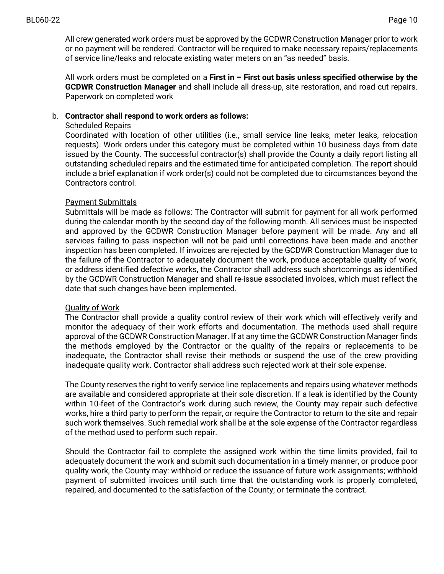All crew generated work orders must be approved by the GCDWR Construction Manager prior to work or no payment will be rendered. Contractor will be required to make necessary repairs/replacements of service line/leaks and relocate existing water meters on an "as needed" basis.

All work orders must be completed on a **First in – First out basis unless specified otherwise by the GCDWR Construction Manager** and shall include all dress-up, site restoration, and road cut repairs. Paperwork on completed work

## b. **Contractor shall respond to work orders as follows:**

## Scheduled Repairs

Coordinated with location of other utilities (i.e., small service line leaks, meter leaks, relocation requests). Work orders under this category must be completed within 10 business days from date issued by the County. The successful contractor(s) shall provide the County a daily report listing all outstanding scheduled repairs and the estimated time for anticipated completion. The report should include a brief explanation if work order(s) could not be completed due to circumstances beyond the Contractors control.

## Payment Submittals

Submittals will be made as follows: The Contractor will submit for payment for all work performed during the calendar month by the second day of the following month. All services must be inspected and approved by the GCDWR Construction Manager before payment will be made. Any and all services failing to pass inspection will not be paid until corrections have been made and another inspection has been completed. If invoices are rejected by the GCDWR Construction Manager due to the failure of the Contractor to adequately document the work, produce acceptable quality of work, or address identified defective works, the Contractor shall address such shortcomings as identified by the GCDWR Construction Manager and shall re-issue associated invoices, which must reflect the date that such changes have been implemented.

## Quality of Work

The Contractor shall provide a quality control review of their work which will effectively verify and monitor the adequacy of their work efforts and documentation. The methods used shall require approval of the GCDWR Construction Manager. If at any time the GCDWR Construction Manager finds the methods employed by the Contractor or the quality of the repairs or replacements to be inadequate, the Contractor shall revise their methods or suspend the use of the crew providing inadequate quality work. Contractor shall address such rejected work at their sole expense.

The County reserves the right to verify service line replacements and repairs using whatever methods are available and considered appropriate at their sole discretion. If a leak is identified by the County within 10-feet of the Contractor's work during such review, the County may repair such defective works, hire a third party to perform the repair, or require the Contractor to return to the site and repair such work themselves. Such remedial work shall be at the sole expense of the Contractor regardless of the method used to perform such repair.

Should the Contractor fail to complete the assigned work within the time limits provided, fail to adequately document the work and submit such documentation in a timely manner, or produce poor quality work, the County may: withhold or reduce the issuance of future work assignments; withhold payment of submitted invoices until such time that the outstanding work is properly completed, repaired, and documented to the satisfaction of the County; or terminate the contract.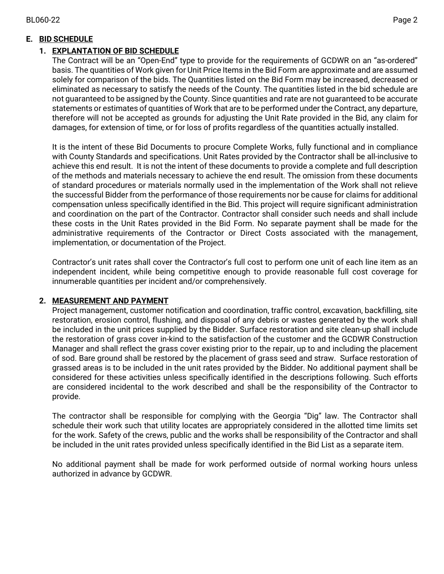# **E. BID SCHEDULE**

# **1. EXPLANTATION OF BID SCHEDULE**

The Contract will be an "Open-End" type to provide for the requirements of GCDWR on an "as-ordered" basis. The quantities of Work given for Unit Price Items in the Bid Form are approximate and are assumed solely for comparison of the bids. The Quantities listed on the Bid Form may be increased, decreased or eliminated as necessary to satisfy the needs of the County. The quantities listed in the bid schedule are not guaranteed to be assigned by the County. Since quantities and rate are not guaranteed to be accurate statements or estimates of quantities of Work that are to be performed under the Contract, any departure, therefore will not be accepted as grounds for adjusting the Unit Rate provided in the Bid, any claim for damages, for extension of time, or for loss of profits regardless of the quantities actually installed.

It is the intent of these Bid Documents to procure Complete Works, fully functional and in compliance with County Standards and specifications. Unit Rates provided by the Contractor shall be all-inclusive to achieve this end result. It is not the intent of these documents to provide a complete and full description of the methods and materials necessary to achieve the end result. The omission from these documents of standard procedures or materials normally used in the implementation of the Work shall not relieve the successful Bidder from the performance of those requirements nor be cause for claims for additional compensation unless specifically identified in the Bid. This project will require significant administration and coordination on the part of the Contractor. Contractor shall consider such needs and shall include these costs in the Unit Rates provided in the Bid Form. No separate payment shall be made for the administrative requirements of the Contractor or Direct Costs associated with the management, implementation, or documentation of the Project.

Contractor's unit rates shall cover the Contractor's full cost to perform one unit of each line item as an independent incident, while being competitive enough to provide reasonable full cost coverage for innumerable quantities per incident and/or comprehensively.

# **2. MEASUREMENT AND PAYMENT**

Project management, customer notification and coordination, traffic control, excavation, backfilling, site restoration, erosion control, flushing, and disposal of any debris or wastes generated by the work shall be included in the unit prices supplied by the Bidder. Surface restoration and site clean-up shall include the restoration of grass cover in-kind to the satisfaction of the customer and the GCDWR Construction Manager and shall reflect the grass cover existing prior to the repair, up to and including the placement of sod. Bare ground shall be restored by the placement of grass seed and straw. Surface restoration of grassed areas is to be included in the unit rates provided by the Bidder. No additional payment shall be considered for these activities unless specifically identified in the descriptions following. Such efforts are considered incidental to the work described and shall be the responsibility of the Contractor to provide.

The contractor shall be responsible for complying with the Georgia "Dig" law. The Contractor shall schedule their work such that utility locates are appropriately considered in the allotted time limits set for the work. Safety of the crews, public and the works shall be responsibility of the Contractor and shall be included in the unit rates provided unless specifically identified in the Bid List as a separate item.

No additional payment shall be made for work performed outside of normal working hours unless authorized in advance by GCDWR.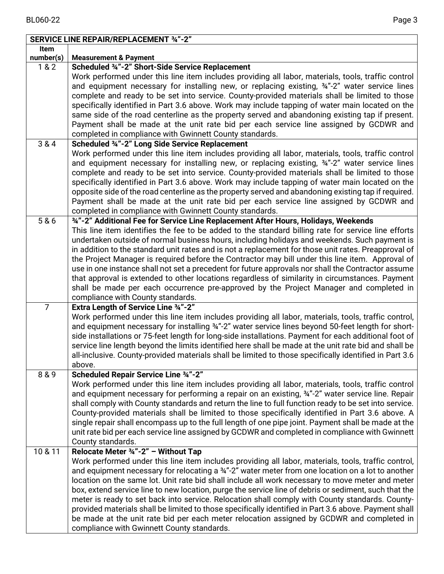|                | <b>SERVICE LINE REPAIR/REPLACEMENT 34"-2"</b>                                                                               |
|----------------|-----------------------------------------------------------------------------------------------------------------------------|
| Item           |                                                                                                                             |
| number(s)      | <b>Measurement &amp; Payment</b>                                                                                            |
| 1&82           | Scheduled 34"-2" Short-Side Service Replacement                                                                             |
|                | Work performed under this line item includes providing all labor, materials, tools, traffic control                         |
|                | and equipment necessary for installing new, or replacing existing, $\frac{3}{4}$ -2" water service lines                    |
|                | complete and ready to be set into service. County-provided materials shall be limited to those                              |
|                | specifically identified in Part 3.6 above. Work may include tapping of water main located on the                            |
|                | same side of the road centerline as the property served and abandoning existing tap if present.                             |
|                | Payment shall be made at the unit rate bid per each service line assigned by GCDWR and                                      |
|                | completed in compliance with Gwinnett County standards.                                                                     |
| 3 & 4          | Scheduled 34"-2" Long Side Service Replacement                                                                              |
|                | Work performed under this line item includes providing all labor, materials, tools, traffic control                         |
|                | and equipment necessary for installing new, or replacing existing, 34"-2" water service lines                               |
|                | complete and ready to be set into service. County-provided materials shall be limited to those                              |
|                | specifically identified in Part 3.6 above. Work may include tapping of water main located on the                            |
|                | opposite side of the road centerline as the property served and abandoning existing tap if required.                        |
|                | Payment shall be made at the unit rate bid per each service line assigned by GCDWR and                                      |
|                | completed in compliance with Gwinnett County standards.                                                                     |
| 5 & 6          | 34"-2" Additional Fee for Service Line Replacement After Hours, Holidays, Weekends                                          |
|                | This line item identifies the fee to be added to the standard billing rate for service line efforts                         |
|                | undertaken outside of normal business hours, including holidays and weekends. Such payment is                               |
|                | in addition to the standard unit rates and is not a replacement for those unit rates. Preapproval of                        |
|                | the Project Manager is required before the Contractor may bill under this line item. Approval of                            |
|                | use in one instance shall not set a precedent for future approvals nor shall the Contractor assume                          |
|                | that approval is extended to other locations regardless of similarity in circumstances. Payment                             |
|                | shall be made per each occurrence pre-approved by the Project Manager and completed in<br>compliance with County standards. |
| $\overline{7}$ | <b>Extra Length of Service Line 34"-2"</b>                                                                                  |
|                | Work performed under this line item includes providing all labor, materials, tools, traffic control,                        |
|                | and equipment necessary for installing 34"-2" water service lines beyond 50-feet length for short-                          |
|                | side installations or 75-feet length for long-side installations. Payment for each additional foot of                       |
|                | service line length beyond the limits identified here shall be made at the unit rate bid and shall be                       |
|                | all-inclusive. County-provided materials shall be limited to those specifically identified in Part 3.6                      |
|                | above.                                                                                                                      |
| 8 & 9          | Scheduled Repair Service Line 34"-2"                                                                                        |
|                | Work performed under this line item includes providing all labor, materials, tools, traffic control                         |
|                | and equipment necessary for performing a repair on an existing, 34"-2" water service line. Repair                           |
|                | shall comply with County standards and return the line to full function ready to be set into service.                       |
|                | County-provided materials shall be limited to those specifically identified in Part 3.6 above. A                            |
|                | single repair shall encompass up to the full length of one pipe joint. Payment shall be made at the                         |
|                | unit rate bid per each service line assigned by GCDWR and completed in compliance with Gwinnett                             |
|                | County standards.                                                                                                           |
| 10 & 11        | Relocate Meter 34"-2" - Without Tap                                                                                         |
|                | Work performed under this line item includes providing all labor, materials, tools, traffic control,                        |
|                | and equipment necessary for relocating a 34"-2" water meter from one location on a lot to another                           |
|                | location on the same lot. Unit rate bid shall include all work necessary to move meter and meter                            |
|                | box, extend service line to new location, purge the service line of debris or sediment, such that the                       |
|                | meter is ready to set back into service. Relocation shall comply with County standards. County-                             |
|                | provided materials shall be limited to those specifically identified in Part 3.6 above. Payment shall                       |
|                | be made at the unit rate bid per each meter relocation assigned by GCDWR and completed in                                   |
|                | compliance with Gwinnett County standards.                                                                                  |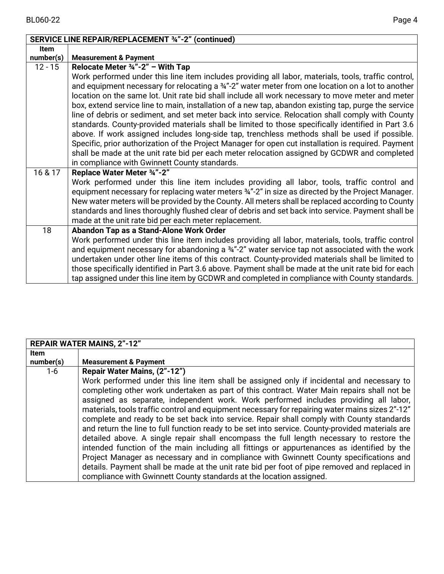|             | SERVICE LINE REPAIR/REPLACEMENT 34"-2" (continued)                                                            |
|-------------|---------------------------------------------------------------------------------------------------------------|
| <b>Item</b> |                                                                                                               |
| number(s)   | <b>Measurement &amp; Payment</b>                                                                              |
| $12 - 15$   | Relocate Meter $\frac{3}{4}$ "-2" – With Tap                                                                  |
|             | Work performed under this line item includes providing all labor, materials, tools, traffic control,          |
|             | and equipment necessary for relocating a 34"-2" water meter from one location on a lot to another             |
|             | location on the same lot. Unit rate bid shall include all work necessary to move meter and meter              |
|             | box, extend service line to main, installation of a new tap, abandon existing tap, purge the service          |
|             | line of debris or sediment, and set meter back into service. Relocation shall comply with County              |
|             | standards. County-provided materials shall be limited to those specifically identified in Part 3.6            |
|             | above. If work assigned includes long-side tap, trenchless methods shall be used if possible.                 |
|             | Specific, prior authorization of the Project Manager for open cut installation is required. Payment           |
|             | shall be made at the unit rate bid per each meter relocation assigned by GCDWR and completed                  |
|             | in compliance with Gwinnett County standards.                                                                 |
| 16 & 17     | Replace Water Meter 34"-2"                                                                                    |
|             | Work performed under this line item includes providing all labor, tools, traffic control and                  |
|             | equipment necessary for replacing water meters $\frac{3}{4}$ "-2" in size as directed by the Project Manager. |
|             | New water meters will be provided by the County. All meters shall be replaced according to County             |
|             | standards and lines thoroughly flushed clear of debris and set back into service. Payment shall be            |
|             | made at the unit rate bid per each meter replacement.                                                         |
| 18          | Abandon Tap as a Stand-Alone Work Order                                                                       |
|             | Work performed under this line item includes providing all labor, materials, tools, traffic control           |
|             | and equipment necessary for abandoning a 34"-2" water service tap not associated with the work                |
|             | undertaken under other line items of this contract. County-provided materials shall be limited to             |
|             | those specifically identified in Part 3.6 above. Payment shall be made at the unit rate bid for each          |
|             | tap assigned under this line item by GCDWR and completed in compliance with County standards.                 |

|                          | <b>REPAIR WATER MAINS, 2"-12"</b>                                                                                                                                                                                                                                                                                                                                                                                                                                                                                                                                                                                                                                                                                                                                                                                                                                                                                                                                                                                                                                              |
|--------------------------|--------------------------------------------------------------------------------------------------------------------------------------------------------------------------------------------------------------------------------------------------------------------------------------------------------------------------------------------------------------------------------------------------------------------------------------------------------------------------------------------------------------------------------------------------------------------------------------------------------------------------------------------------------------------------------------------------------------------------------------------------------------------------------------------------------------------------------------------------------------------------------------------------------------------------------------------------------------------------------------------------------------------------------------------------------------------------------|
| <b>Item</b><br>number(s) | <b>Measurement &amp; Payment</b>                                                                                                                                                                                                                                                                                                                                                                                                                                                                                                                                                                                                                                                                                                                                                                                                                                                                                                                                                                                                                                               |
| $1-6$                    | Repair Water Mains, (2"-12")<br>Work performed under this line item shall be assigned only if incidental and necessary to<br>completing other work undertaken as part of this contract. Water Main repairs shall not be<br>assigned as separate, independent work. Work performed includes providing all labor,<br>materials, tools traffic control and equipment necessary for repairing water mains sizes 2"-12"<br>complete and ready to be set back into service. Repair shall comply with County standards<br>and return the line to full function ready to be set into service. County-provided materials are<br>detailed above. A single repair shall encompass the full length necessary to restore the<br>intended function of the main including all fittings or appurtenances as identified by the<br>Project Manager as necessary and in compliance with Gwinnett County specifications and<br>details. Payment shall be made at the unit rate bid per foot of pipe removed and replaced in<br>compliance with Gwinnett County standards at the location assigned. |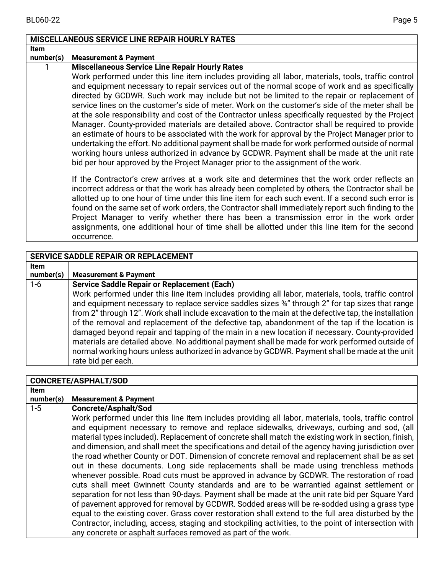|             | <b>MISCELLANEOUS SERVICE LINE REPAIR HOURLY RATES</b>                                                                                                                                                                                                                                                                                                                                                                                                                                                                                                                                                                                                                                                                                                                                                                                                                                                 |
|-------------|-------------------------------------------------------------------------------------------------------------------------------------------------------------------------------------------------------------------------------------------------------------------------------------------------------------------------------------------------------------------------------------------------------------------------------------------------------------------------------------------------------------------------------------------------------------------------------------------------------------------------------------------------------------------------------------------------------------------------------------------------------------------------------------------------------------------------------------------------------------------------------------------------------|
| <b>Item</b> |                                                                                                                                                                                                                                                                                                                                                                                                                                                                                                                                                                                                                                                                                                                                                                                                                                                                                                       |
| number(s)   | <b>Measurement &amp; Payment</b>                                                                                                                                                                                                                                                                                                                                                                                                                                                                                                                                                                                                                                                                                                                                                                                                                                                                      |
|             | <b>Miscellaneous Service Line Repair Hourly Rates</b><br>Work performed under this line item includes providing all labor, materials, tools, traffic control                                                                                                                                                                                                                                                                                                                                                                                                                                                                                                                                                                                                                                                                                                                                          |
|             | and equipment necessary to repair services out of the normal scope of work and as specifically<br>directed by GCDWR. Such work may include but not be limited to the repair or replacement of<br>service lines on the customer's side of meter. Work on the customer's side of the meter shall be<br>at the sole responsibility and cost of the Contractor unless specifically requested by the Project<br>Manager. County-provided materials are detailed above. Contractor shall be required to provide<br>an estimate of hours to be associated with the work for approval by the Project Manager prior to<br>undertaking the effort. No additional payment shall be made for work performed outside of normal<br>working hours unless authorized in advance by GCDWR. Payment shall be made at the unit rate<br>bid per hour approved by the Project Manager prior to the assignment of the work. |
|             | If the Contractor's crew arrives at a work site and determines that the work order reflects an<br>incorrect address or that the work has already been completed by others, the Contractor shall be<br>allotted up to one hour of time under this line item for each such event. If a second such error is<br>found on the same set of work orders, the Contractor shall immediately report such finding to the<br>Project Manager to verify whether there has been a transmission error in the work order<br>assignments, one additional hour of time shall be allotted under this line item for the second<br>occurrence.                                                                                                                                                                                                                                                                            |

|           | SERVICE SADDLE REPAIR OR REPLACEMENT                                                                                                                                                                                                                                                                                                                                                                                                                                                                                                                                                                                                                                                                                                          |
|-----------|-----------------------------------------------------------------------------------------------------------------------------------------------------------------------------------------------------------------------------------------------------------------------------------------------------------------------------------------------------------------------------------------------------------------------------------------------------------------------------------------------------------------------------------------------------------------------------------------------------------------------------------------------------------------------------------------------------------------------------------------------|
| Item      |                                                                                                                                                                                                                                                                                                                                                                                                                                                                                                                                                                                                                                                                                                                                               |
| number(s) | <b>Measurement &amp; Payment</b>                                                                                                                                                                                                                                                                                                                                                                                                                                                                                                                                                                                                                                                                                                              |
| $1-6$     | <b>Service Saddle Repair or Replacement (Each)</b>                                                                                                                                                                                                                                                                                                                                                                                                                                                                                                                                                                                                                                                                                            |
|           | Work performed under this line item includes providing all labor, materials, tools, traffic control<br>and equipment necessary to replace service saddles sizes 34" through 2" for tap sizes that range<br>from 2" through 12". Work shall include excavation to the main at the defective tap, the installation<br>of the removal and replacement of the defective tap, abandonment of the tap if the location is<br>damaged beyond repair and tapping of the main in a new location if necessary. County-provided<br>materials are detailed above. No additional payment shall be made for work performed outside of<br>normal working hours unless authorized in advance by GCDWR. Payment shall be made at the unit<br>rate bid per each. |

|             | <b>CONCRETE/ASPHALT/SOD</b>                                                                          |
|-------------|------------------------------------------------------------------------------------------------------|
| <b>Item</b> |                                                                                                      |
| number(s)   | <b>Measurement &amp; Payment</b>                                                                     |
| $1 - 5$     | <b>Concrete/Asphalt/Sod</b>                                                                          |
|             | Work performed under this line item includes providing all labor, materials, tools, traffic control  |
|             | and equipment necessary to remove and replace sidewalks, driveways, curbing and sod, (all            |
|             | material types included). Replacement of concrete shall match the existing work in section, finish,  |
|             | and dimension, and shall meet the specifications and detail of the agency having jurisdiction over   |
|             | the road whether County or DOT. Dimension of concrete removal and replacement shall be as set        |
|             | out in these documents. Long side replacements shall be made using trenchless methods                |
|             | whenever possible. Road cuts must be approved in advance by GCDWR. The restoration of road           |
|             | cuts shall meet Gwinnett County standards and are to be warrantied against settlement or             |
|             | separation for not less than 90-days. Payment shall be made at the unit rate bid per Square Yard     |
|             | of pavement approved for removal by GCDWR. Sodded areas will be re-sodded using a grass type         |
|             | equal to the existing cover. Grass cover restoration shall extend to the full area disturbed by the  |
|             | Contractor, including, access, staging and stockpiling activities, to the point of intersection with |
|             | any concrete or asphalt surfaces removed as part of the work.                                        |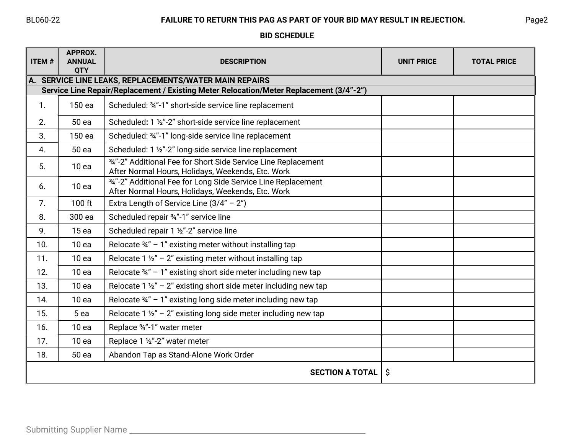## BL060-22 **FAILURE TO RETURN THIS PAG AS PART OF YOUR BID MAY RESULT IN REJECTION.** Page2

**BID SCHEDULE**

| <b>ITEM#</b> | APPROX.<br><b>ANNUAL</b><br><b>QTY</b> | <b>DESCRIPTION</b>                                                                                                                                     | <b>UNIT PRICE</b> | <b>TOTAL PRICE</b> |
|--------------|----------------------------------------|--------------------------------------------------------------------------------------------------------------------------------------------------------|-------------------|--------------------|
|              |                                        | $\ $ A. SERVICE LINE LEAKS, REPLACEMENTS/WATER MAIN REPAIRS<br>Service Line Repair/Replacement / Existing Meter Relocation/Meter Replacement (3/4"-2") |                   |                    |
|              |                                        |                                                                                                                                                        |                   |                    |
| 1.           | 150 ea                                 | Scheduled: 34"-1" short-side service line replacement                                                                                                  |                   |                    |
| 2.           | 50 ea                                  | Scheduled: 1 1/2"-2" short-side service line replacement                                                                                               |                   |                    |
| 3.           | 150 ea                                 | Scheduled: 34"-1" long-side service line replacement                                                                                                   |                   |                    |
| 4.           | 50 ea                                  | Scheduled: 1 1/2"-2" long-side service line replacement                                                                                                |                   |                    |
| 5.           | 10ea                                   | 34"-2" Additional Fee for Short Side Service Line Replacement<br>After Normal Hours, Holidays, Weekends, Etc. Work                                     |                   |                    |
| 6.           | 10 <sub>ea</sub>                       | 34"-2" Additional Fee for Long Side Service Line Replacement<br>After Normal Hours, Holidays, Weekends, Etc. Work                                      |                   |                    |
| 7.           | 100 ft                                 | Extra Length of Service Line $(3/4'' - 2'')$                                                                                                           |                   |                    |
| 8.           | 300 ea                                 | Scheduled repair 34"-1" service line                                                                                                                   |                   |                    |
| 9.           | 15ea                                   | Scheduled repair 1 1/2"-2" service line                                                                                                                |                   |                    |
| 10.          | 10ea                                   | Relocate $\frac{3}{4}$ " - 1" existing meter without installing tap                                                                                    |                   |                    |
| 11.          | 10 <sub>ea</sub>                       | Relocate 1 $1/2$ " – 2" existing meter without installing tap                                                                                          |                   |                    |
| 12.          | 10 <sub>ea</sub>                       | Relocate $\frac{3}{4}$ " - 1" existing short side meter including new tap                                                                              |                   |                    |
| 13.          | 10 <sub>ea</sub>                       | Relocate 1 $\frac{1}{2}$ - 2" existing short side meter including new tap                                                                              |                   |                    |
| 14.          | 10 <sub>ea</sub>                       | Relocate $\frac{3}{4}$ " – 1" existing long side meter including new tap                                                                               |                   |                    |
| 15.          | 5 <sub>ea</sub>                        | Relocate 1 $\frac{1}{2}$ - 2" existing long side meter including new tap                                                                               |                   |                    |
| 16.          | 10 <sub>ea</sub>                       | Replace 34"-1" water meter                                                                                                                             |                   |                    |
| 17.          | 10 <sub>ea</sub>                       | Replace 1 1/2"-2" water meter                                                                                                                          |                   |                    |
| 18.          | 50 ea                                  | Abandon Tap as Stand-Alone Work Order                                                                                                                  |                   |                    |
|              |                                        | <b>SECTION A TOTAL</b>                                                                                                                                 | Ŝ.                |                    |

 $\overline{\phantom{a}}$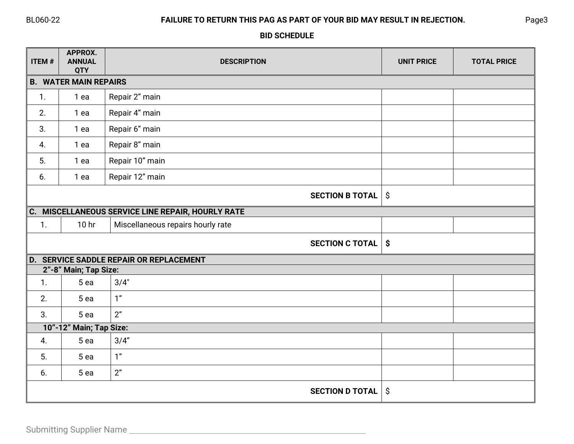# BL060-22 **FAILURE TO RETURN THIS PAG AS PART OF YOUR BID MAY RESULT IN REJECTION.** Page3

## **BID SCHEDULE**

| ITEM# | APPROX.<br><b>ANNUAL</b><br><b>QTY</b> | <b>DESCRIPTION</b>                                | <b>UNIT PRICE</b>         | <b>TOTAL PRICE</b> |
|-------|----------------------------------------|---------------------------------------------------|---------------------------|--------------------|
|       | <b>B. WATER MAIN REPAIRS</b>           |                                                   |                           |                    |
| 1.    | 1 ea                                   | Repair 2" main                                    |                           |                    |
| 2.    | 1 ea                                   | Repair 4" main                                    |                           |                    |
| 3.    | 1 ea                                   | Repair 6" main                                    |                           |                    |
| 4.    | 1 ea                                   | Repair 8" main                                    |                           |                    |
| 5.    | 1 ea                                   | Repair 10" main                                   |                           |                    |
| 6.    | 1 ea                                   | Repair 12" main                                   |                           |                    |
|       |                                        | <b>SECTION B TOTAL</b>                            | $\hat{\mathcal{S}}$       |                    |
|       |                                        | C. MISCELLANEOUS SERVICE LINE REPAIR, HOURLY RATE |                           |                    |
| 1.    | 10 <sub>hr</sub>                       | Miscellaneous repairs hourly rate                 |                           |                    |
|       |                                        | <b>SECTION C TOTAL</b>                            | $\boldsymbol{\mathsf{S}}$ |                    |
|       |                                        | <b>D. SERVICE SADDLE REPAIR OR REPLACEMENT</b>    |                           |                    |
|       | 2"-8" Main; Tap Size:                  |                                                   |                           |                    |
| 1.    | 5 <sub>ea</sub>                        | 3/4"                                              |                           |                    |
| 2.    | 5 ea                                   | 1 <sup>n</sup>                                    |                           |                    |
| 3.    | 5 <sub>ea</sub>                        | 2"                                                |                           |                    |
|       | 10"-12" Main; Tap Size:                |                                                   |                           |                    |
| 4.    | 5 ea                                   | 3/4"                                              |                           |                    |
| 5.    | 5 ea                                   | 1 <sup>n</sup>                                    |                           |                    |
| 6.    | 5 ea                                   | 2"                                                |                           |                    |
|       |                                        | <b>SECTION D TOTAL</b>                            | \$                        |                    |

 $\overline{\phantom{a}}$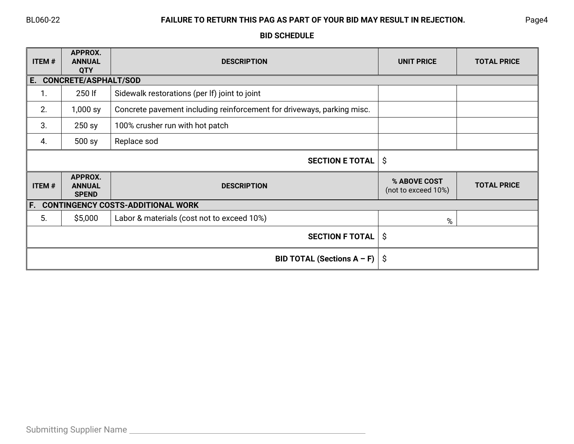# BL060-22 **FAILURE TO RETURN THIS PAG AS PART OF YOUR BID MAY RESULT IN REJECTION.** Page4

# **BID SCHEDULE**

| <b>ITEM#</b> | APPROX.<br><b>ANNUAL</b><br><b>QTY</b>   | <b>DESCRIPTION</b>                                                     | <b>UNIT PRICE</b>                   | <b>TOTAL PRICE</b> |
|--------------|------------------------------------------|------------------------------------------------------------------------|-------------------------------------|--------------------|
| E.           | <b>CONCRETE/ASPHALT/SOD</b>              |                                                                        |                                     |                    |
| 1.           | 250 lf                                   | Sidewalk restorations (per If) joint to joint                          |                                     |                    |
| 2.           | $1,000$ sy                               | Concrete pavement including reinforcement for driveways, parking misc. |                                     |                    |
| 3.           | 250 sy                                   | 100% crusher run with hot patch                                        |                                     |                    |
| 4.           | 500 sy                                   | Replace sod                                                            |                                     |                    |
|              |                                          | <b>SECTION E TOTAL</b>                                                 | \$                                  |                    |
| <b>ITEM#</b> | APPROX.<br><b>ANNUAL</b><br><b>SPEND</b> | <b>DESCRIPTION</b>                                                     | % ABOVE COST<br>(not to exceed 10%) | <b>TOTAL PRICE</b> |
| F.           |                                          | <b>CONTINGENCY COSTS-ADDITIONAL WORK</b>                               |                                     |                    |
| 5.           | \$5,000                                  | Labor & materials (cost not to exceed 10%)                             | %                                   |                    |
|              |                                          | <b>SECTION F TOTAL</b>                                                 | \$                                  |                    |
|              |                                          | BID TOTAL (Sections A - F)                                             | \$                                  |                    |

 $\overline{\phantom{a}}$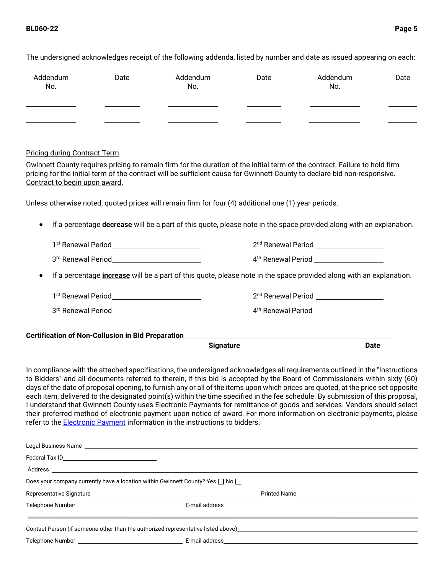| Addendum<br>No.                                   | Date                                                       | Addendum<br>No.                                                                                      | Date | Addendum<br>No.                                                                                                                                                                                                                                                                                                                                                                                                                                                                                                                                                                                                                                                                                                                                                                     | Date |
|---------------------------------------------------|------------------------------------------------------------|------------------------------------------------------------------------------------------------------|------|-------------------------------------------------------------------------------------------------------------------------------------------------------------------------------------------------------------------------------------------------------------------------------------------------------------------------------------------------------------------------------------------------------------------------------------------------------------------------------------------------------------------------------------------------------------------------------------------------------------------------------------------------------------------------------------------------------------------------------------------------------------------------------------|------|
|                                                   |                                                            |                                                                                                      |      |                                                                                                                                                                                                                                                                                                                                                                                                                                                                                                                                                                                                                                                                                                                                                                                     |      |
|                                                   |                                                            |                                                                                                      |      | <u>and the state of the state of the state of the state of the state of the state of the state of the state of the state of the state of the state of the state of the state of the state of the state of the state of the state</u>                                                                                                                                                                                                                                                                                                                                                                                                                                                                                                                                                |      |
| <b>Pricing during Contract Term</b>               |                                                            |                                                                                                      |      |                                                                                                                                                                                                                                                                                                                                                                                                                                                                                                                                                                                                                                                                                                                                                                                     |      |
| Contract to begin upon award.                     |                                                            |                                                                                                      |      | Gwinnett County requires pricing to remain firm for the duration of the initial term of the contract. Failure to hold firm<br>pricing for the initial term of the contract will be sufficient cause for Gwinnett County to declare bid non-responsive.                                                                                                                                                                                                                                                                                                                                                                                                                                                                                                                              |      |
|                                                   |                                                            | Unless otherwise noted, quoted prices will remain firm for four (4) additional one (1) year periods. |      |                                                                                                                                                                                                                                                                                                                                                                                                                                                                                                                                                                                                                                                                                                                                                                                     |      |
| $\bullet$                                         |                                                            |                                                                                                      |      | If a percentage <b>decrease</b> will be a part of this quote, please note in the space provided along with an explanation.                                                                                                                                                                                                                                                                                                                                                                                                                                                                                                                                                                                                                                                          |      |
|                                                   | 1 <sup>st</sup> Renewal Period____________________________ |                                                                                                      |      | 2 <sup>nd</sup> Renewal Period __________________                                                                                                                                                                                                                                                                                                                                                                                                                                                                                                                                                                                                                                                                                                                                   |      |
|                                                   |                                                            |                                                                                                      |      | 4 <sup>th</sup> Renewal Period <b>No. 120 Apr 2010</b>                                                                                                                                                                                                                                                                                                                                                                                                                                                                                                                                                                                                                                                                                                                              |      |
| ٠                                                 |                                                            |                                                                                                      |      | If a percentage <i>increase</i> will be a part of this quote, please note in the space provided along with an explanation.                                                                                                                                                                                                                                                                                                                                                                                                                                                                                                                                                                                                                                                          |      |
|                                                   | 1st Renewal Period___________________________              |                                                                                                      |      | 2 <sup>nd</sup> Renewal Period ___________________                                                                                                                                                                                                                                                                                                                                                                                                                                                                                                                                                                                                                                                                                                                                  |      |
|                                                   |                                                            |                                                                                                      |      | 4 <sup>th</sup> Renewal Period <u>Network and American Community of the Renewal Period and American Community of the Renewal B</u>                                                                                                                                                                                                                                                                                                                                                                                                                                                                                                                                                                                                                                                  |      |
|                                                   |                                                            |                                                                                                      |      |                                                                                                                                                                                                                                                                                                                                                                                                                                                                                                                                                                                                                                                                                                                                                                                     |      |
|                                                   |                                                            | Certification of Non-Collusion in Bid Preparation ______________________________<br><b>Signature</b> |      | <b>Date</b>                                                                                                                                                                                                                                                                                                                                                                                                                                                                                                                                                                                                                                                                                                                                                                         |      |
|                                                   |                                                            | refer to the Electronic Payment information in the instructions to bidders.                          |      | In compliance with the attached specifications, the undersigned acknowledges all requirements outlined in the "Instructions<br>to Bidders" and all documents referred to therein, if this bid is accepted by the Board of Commissioners within sixty (60)<br>days of the date of proposal opening, to furnish any or all of the items upon which prices are quoted, at the price set opposite<br>each item, delivered to the designated point(s) within the time specified in the fee schedule. By submission of this proposal,<br>I understand that Gwinnett County uses Electronic Payments for remittance of goods and services. Vendors should select<br>their preferred method of electronic payment upon notice of award. For more information on electronic payments, please |      |
|                                                   |                                                            |                                                                                                      |      |                                                                                                                                                                                                                                                                                                                                                                                                                                                                                                                                                                                                                                                                                                                                                                                     |      |
| Federal Tax ID___________________________________ |                                                            |                                                                                                      |      |                                                                                                                                                                                                                                                                                                                                                                                                                                                                                                                                                                                                                                                                                                                                                                                     |      |
|                                                   |                                                            |                                                                                                      |      |                                                                                                                                                                                                                                                                                                                                                                                                                                                                                                                                                                                                                                                                                                                                                                                     |      |
|                                                   |                                                            | Does your company currently have a location within Gwinnett County? Yes $\Box$ No $\Box$             |      |                                                                                                                                                                                                                                                                                                                                                                                                                                                                                                                                                                                                                                                                                                                                                                                     |      |
|                                                   |                                                            |                                                                                                      |      |                                                                                                                                                                                                                                                                                                                                                                                                                                                                                                                                                                                                                                                                                                                                                                                     |      |
|                                                   |                                                            |                                                                                                      |      |                                                                                                                                                                                                                                                                                                                                                                                                                                                                                                                                                                                                                                                                                                                                                                                     |      |
|                                                   |                                                            |                                                                                                      |      | <u> 1989 - Jan Samuel Barbara, marka a shekara ta 1989 - An tsara tsa a shekara tsa a shekara tsa a shekara tsa a</u>                                                                                                                                                                                                                                                                                                                                                                                                                                                                                                                                                                                                                                                               |      |

Contact Person (if someone other than the authorized representative listed above)<br>
<u>Contact Person</u> (if someone other than the authorized representative listed above)

Telephone Number E-mail address

The undersigned acknowledges receipt of the following addenda, listed by number and date as issued appearing on each: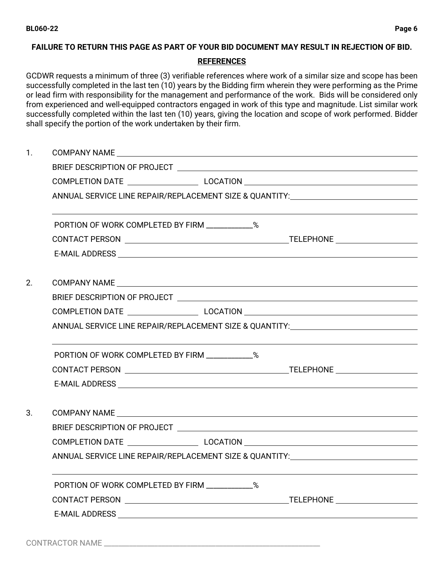## **FAILURE TO RETURN THIS PAGE AS PART OF YOUR BID DOCUMENT MAY RESULT IN REJECTION OF BID.**

## **REFERENCES**

GCDWR requests a minimum of three (3) verifiable references where work of a similar size and scope has been successfully completed in the last ten (10) years by the Bidding firm wherein they were performing as the Prime or lead firm with responsibility for the management and performance of the work. Bids will be considered only from experienced and well-equipped contractors engaged in work of this type and magnitude. List similar work successfully completed within the last ten (10) years, giving the location and scope of work performed. Bidder shall specify the portion of the work undertaken by their firm.

1. COMPANY NAME BRIEF DESCRIPTION OF PROJECT COMPLETION DATE LOCATION ANNUAL SERVICE LINE REPAIR/REPLACEMENT SIZE & QUANTITY: PORTION OF WORK COMPLETED BY FIRM  $\%$ CONTACT PERSON TELEPHONE E-MAIL ADDRESS 2. COMPANY NAME BRIEF DESCRIPTION OF PROJECT COMPLETION DATE LOCATION ANNUAL SERVICE LINE REPAIR/REPLACEMENT SIZE & QUANTITY: PORTION OF WORK COMPLETED BY FIRM \_\_\_\_\_\_\_\_\_\_\_\_\_% CONTACT PERSON TELEPHONE E-MAIL ADDRESS 3. COMPANY NAME BRIEF DESCRIPTION OF PROJECT COMPLETION DATE LOCATION ANNUAL SERVICE LINE REPAIR/REPLACEMENT SIZE & QUANTITY: PORTION OF WORK COMPLETED BY FIRM  $\%$ CONTACT PERSON TELEPHONE E-MAIL ADDRESS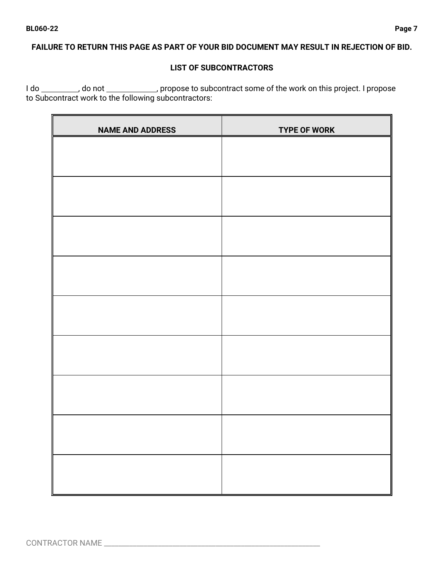## **FAILURE TO RETURN THIS PAGE AS PART OF YOUR BID DOCUMENT MAY RESULT IN REJECTION OF BID.**

## **LIST OF SUBCONTRACTORS**

I do \_\_\_\_\_\_\_\_\_, do not \_\_\_\_\_\_\_\_\_\_\_\_, propose to subcontract some of the work on this project. I propose to Subcontract work to the following subcontractors:

| <b>NAME AND ADDRESS</b> | <b>TYPE OF WORK</b> |
|-------------------------|---------------------|
|                         |                     |
|                         |                     |
|                         |                     |
|                         |                     |
|                         |                     |
|                         |                     |
|                         |                     |
|                         |                     |
|                         |                     |
|                         |                     |
|                         |                     |
|                         |                     |
|                         |                     |
|                         |                     |
|                         |                     |
|                         |                     |
|                         |                     |
|                         |                     |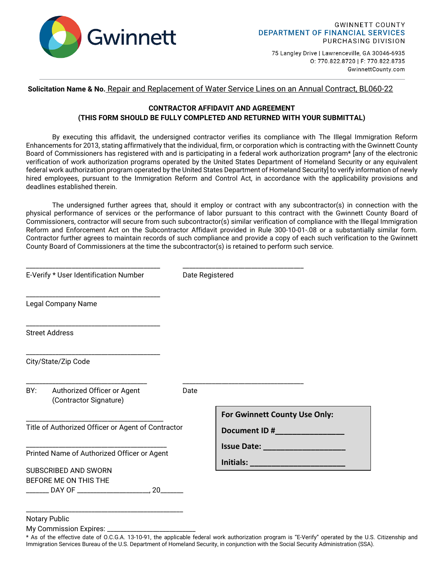

75 Langley Drive | Lawrenceville, GA 30046-6935 0: 770.822.8720 | F: 770.822.8735 GwinnettCounty.com

### **Solicitation Name & No.** Repair and Replacement of Water Service Lines on an Annual Contract, BL060-22

## **CONTRACTOR AFFIDAVIT AND AGREEMENT (THIS FORM SHOULD BE FULLY COMPLETED AND RETURNED WITH YOUR SUBMITTAL)**

By executing this affidavit, the undersigned contractor verifies its compliance with The Illegal Immigration Reform Enhancements for 2013, stating affirmatively that the individual, firm, or corporation which is contracting with the Gwinnett County Board of Commissioners has registered with and is participating in a federal work authorization program\* [any of the electronic verification of work authorization programs operated by the United States Department of Homeland Security or any equivalent federal work authorization program operated by the United States Department of Homeland Security] to verify information of newly hired employees, pursuant to the Immigration Reform and Control Act, in accordance with the applicability provisions and deadlines established therein.

The undersigned further agrees that, should it employ or contract with any subcontractor(s) in connection with the physical performance of services or the performance of labor pursuant to this contract with the Gwinnett County Board of Commissioners, contractor will secure from such subcontractor(s) similar verification of compliance with the Illegal Immigration Reform and Enforcement Act on the Subcontractor Affidavit provided in Rule 300-10-01-.08 or a substantially similar form. Contractor further agrees to maintain records of such compliance and provide a copy of each such verification to the Gwinnett County Board of Commissioners at the time the subcontractor(s) is retained to perform such service.

| E-Verify * User Identification Number                                                        | Date Registered |                                                |
|----------------------------------------------------------------------------------------------|-----------------|------------------------------------------------|
| <b>Legal Company Name</b>                                                                    |                 |                                                |
| <b>Street Address</b>                                                                        |                 |                                                |
| City/State/Zip Code                                                                          |                 |                                                |
| BY: Authorized Officer or Agent<br>(Contractor Signature)                                    | Date            |                                                |
| Title of Authorized Officer or Agent of Contractor                                           |                 | For Gwinnett County Use Only:                  |
| Printed Name of Authorized Officer or Agent<br>SUBSCRIBED AND SWORN<br>BEFORE ME ON THIS THE |                 | <u>Initials: _____________________________</u> |

Notary Public

My Commission Expires:

<sup>\*</sup> As of the effective date of O.C.G.A. 13-10-91, the applicable federal work authorization program is "E-Verify" operated by the U.S. Citizenship and Immigration Services Bureau of the U.S. Department of Homeland Security, in conjunction with the Social Security Administration (SSA).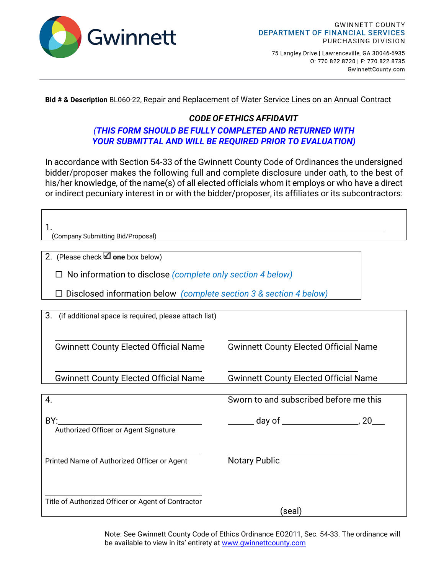

75 Langley Drive | Lawrenceville, GA 30046-6935 0: 770.822.8720 | F: 770.822.8735 GwinnettCounty.com

**Bid # & Description** BL060-22, Repair and Replacement of Water Service Lines on an Annual Contract

# *CODE OF ETHICS AFFIDAVIT*

# *(THIS FORM SHOULD BE FULLY COMPLETED AND RETURNED WITH YOUR SUBMITTAL AND WILL BE REQUIRED PRIOR TO EVALUATION)*

In accordance with Section 54-33 of the Gwinnett County Code of Ordinances the undersigned bidder/proposer makes the following full and complete disclosure under oath, to the best of his/her knowledge, of the name(s) of all elected officials whom it employs or who have a direct or indirect pecuniary interest in or with the bidder/proposer, its affiliates or its subcontractors:

| (Company Submitting Bid/Proposal)                                  |                                              |  |  |
|--------------------------------------------------------------------|----------------------------------------------|--|--|
| 2. (Please check $\Box$ one box below)                             |                                              |  |  |
| $\Box$ No information to disclose (complete only section 4 below)  |                                              |  |  |
| Disclosed information below (complete section 3 & section 4 below) |                                              |  |  |
| 3.<br>(if additional space is required, please attach list)        |                                              |  |  |
| <b>Gwinnett County Elected Official Name</b>                       | <b>Gwinnett County Elected Official Name</b> |  |  |
| <b>Gwinnett County Elected Official Name</b>                       | <b>Gwinnett County Elected Official Name</b> |  |  |
| 4.                                                                 | Sworn to and subscribed before me this       |  |  |
| BY:<br>Authorized Officer or Agent Signature                       |                                              |  |  |
| Printed Name of Authorized Officer or Agent                        | <b>Notary Public</b>                         |  |  |
| Title of Authorized Officer or Agent of Contractor                 | (seal)                                       |  |  |

Note: See Gwinnett County Code of Ethics Ordinance EO2011, Sec. 54-33. The ordinance will be available to view in its' entirety at [www.gwinnettcounty.com](http://www.gwinnettcounty.com/)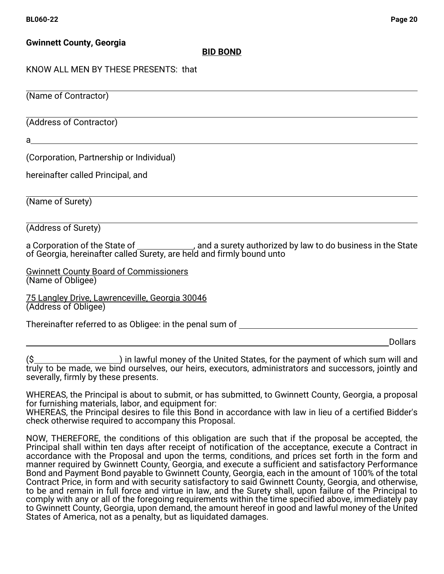# **Gwinnett County, Georgia**

# **BID BOND**

# KNOW ALL MEN BY THESE PRESENTS: that

 $\overline{a}$ (Name of Contractor)

 $\overline{a}$ (Address of Contractor)

a

(Corporation, Partnership or Individual)

hereinafter called Principal, and

 $\overline{a}$ (Name of Surety)

 $\overline{a}$ (Address of Surety)

a Corporation of the State of \_\_\_\_\_\_\_\_\_\_\_\_\_, and a surety authorized by law to do business in the State of Georgia, hereinafter called Surety, are held and firmly bound unto

Gwinnett County Board of Commissioners (Name of Obligee)

75 Langley Drive, Lawrenceville, Georgia 30046 (Address of Obligee)

Thereinafter referred to as Obligee: in the penal sum of \_\_\_\_\_\_\_\_\_\_\_\_\_\_\_\_\_\_\_\_\_\_\_\_

Dollars

(\$\_\_\_\_\_\_\_\_\_\_\_\_\_\_\_\_\_\_\_\_\_\_\_\_) in lawful money of the United States, for the payment of which sum will and truly to be made, we bind ourselves, our heirs, executors, administrators and successors, jointly and severally, firmly by these presents.

WHEREAS, the Principal is about to submit, or has submitted, to Gwinnett County, Georgia, a proposal for furnishing materials, labor, and equipment for:

WHEREAS, the Principal desires to file this Bond in accordance with law in lieu of a certified Bidder's check otherwise required to accompany this Proposal.

NOW, THEREFORE, the conditions of this obligation are such that if the proposal be accepted, the Principal shall within ten days after receipt of notification of the acceptance, execute a Contract in accordance with the Proposal and upon the terms, conditions, and prices set forth in the form and manner required by Gwinnett County, Georgia, and execute a sufficient and satisfactory Performance Bond and Payment Bond payable to Gwinnett County, Georgia, each in the amount of 100% of the total Contract Price, in form and with security satisfactory to said Gwinnett County, Georgia, and otherwise, to be and remain in full force and virtue in law, and the Surety shall, upon failure of the Principal to comply with any or all of the foregoing requirements within the time specified above, immediately pay to Gwinnett County, Georgia, upon demand, the amount hereof in good and lawful money of the United States of America, not as a penalty, but as liquidated damages.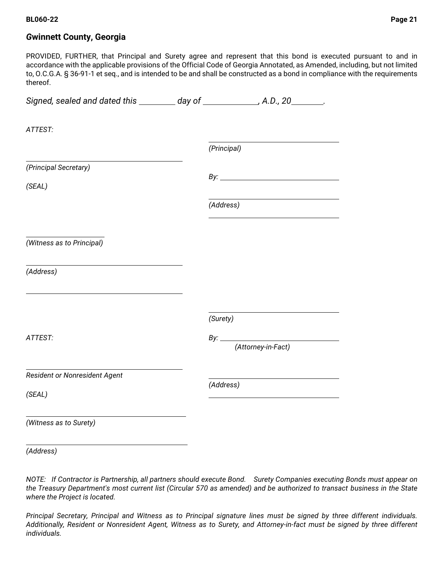### **BL060-22 Page 21**

## *G***winnett County, Georgia**

PROVIDED, FURTHER, that Principal and Surety agree and represent that this bond is executed pursuant to and in accordance with the applicable provisions of the Official Code of Georgia Annotated, as Amended, including, but not limited to, O.C.G.A. § 36-91-1 et seq., and is intended to be and shall be constructed as a bond in compliance with the requirements thereof.

| Signed, sealed and dated this ________ day of ____________, A.D., 20_______. |             |
|------------------------------------------------------------------------------|-------------|
| ATTEST:                                                                      |             |
|                                                                              | (Principal) |
| (Principal Secretary)                                                        |             |
| (SEAL)                                                                       |             |
|                                                                              | (Address)   |
| (Witness as to Principal)                                                    |             |
| (Address)                                                                    |             |
|                                                                              | (Surety)    |
| ATTEST:                                                                      |             |
| Resident or Nonresident Agent                                                |             |
| (SEAL)                                                                       | (Address)   |
| (Witness as to Surety)                                                       |             |

*(Address)* 

*NOTE: If Contractor is Partnership, all partners should execute Bond. Surety Companies executing Bonds must appear on the Treasury Department's most current list (Circular 570 as amended) and be authorized to transact business in the State where the Project is located.* 

*Principal Secretary, Principal and Witness as to Principal signature lines must be signed by three different individuals. Additionally, Resident or Nonresident Agent, Witness as to Surety, and Attorney-in-fact must be signed by three different individuals.*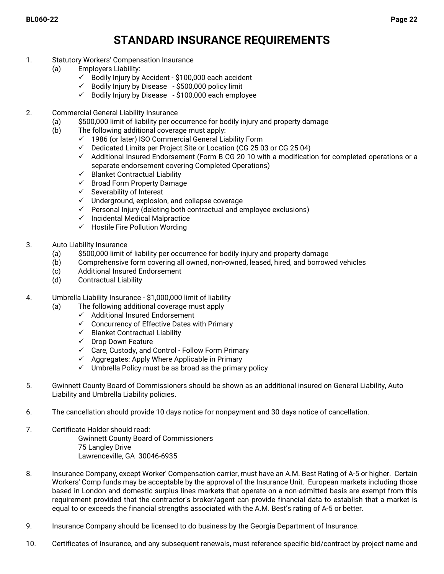# **STANDARD INSURANCE REQUIREMENTS**

- 1. Statutory Workers' Compensation Insurance
	- (a) Employers Liability:
		- $\checkmark$  Bodily Injury by Accident \$100,000 each accident
		- $\checkmark$  Bodily Injury by Disease \$500,000 policy limit
		- $\checkmark$  Bodily Injury by Disease \$100,000 each employee
- 2. Commercial General Liability Insurance
	- (a) \$500,000 limit of liability per occurrence for bodily injury and property damage
	- (b) The following additional coverage must apply:
		- $\checkmark$  1986 (or later) ISO Commercial General Liability Form
		- $\checkmark$  Dedicated Limits per Project Site or Location (CG 25 03 or CG 25 04)
		- $\checkmark$  Additional Insured Endorsement (Form B CG 20 10 with a modification for completed operations or a separate endorsement covering Completed Operations)
		- $\checkmark$  Blanket Contractual Liability
		- $\checkmark$  Broad Form Property Damage
		- $\checkmark$  Severability of Interest
		- $\checkmark$  Underground, explosion, and collapse coverage
		- $\checkmark$  Personal Injury (deleting both contractual and employee exclusions)
		- $\checkmark$  Incidental Medical Malpractice
		- $\checkmark$  Hostile Fire Pollution Wording
- 3. Auto Liability Insurance
	- (a) \$500,000 limit of liability per occurrence for bodily injury and property damage
	- (b) Comprehensive form covering all owned, non-owned, leased, hired, and borrowed vehicles
	- (c) Additional Insured Endorsement
	- (d) Contractual Liability
- 4. Umbrella Liability Insurance \$1,000,000 limit of liability
	- (a) The following additional coverage must apply
		- $\checkmark$  Additional Insured Endorsement
		- $\checkmark$  Concurrency of Effective Dates with Primary
		- $\checkmark$  Blanket Contractual Liability
		- $\checkmark$  Drop Down Feature
		- $\checkmark$  Care, Custody, and Control Follow Form Primary
		- $\checkmark$  Aggregates: Apply Where Applicable in Primary
		- $\checkmark$  Umbrella Policy must be as broad as the primary policy
- 5. Gwinnett County Board of Commissioners should be shown as an additional insured on General Liability, Auto Liability and Umbrella Liability policies.
- 6. The cancellation should provide 10 days notice for nonpayment and 30 days notice of cancellation.
- 7. Certificate Holder should read: Gwinnett County Board of Commissioners 75 Langley Drive Lawrenceville, GA 30046-6935
- 8. Insurance Company, except Worker' Compensation carrier, must have an A.M. Best Rating of A-5 or higher. Certain Workers' Comp funds may be acceptable by the approval of the Insurance Unit. European markets including those based in London and domestic surplus lines markets that operate on a non-admitted basis are exempt from this requirement provided that the contractor's broker/agent can provide financial data to establish that a market is equal to or exceeds the financial strengths associated with the A.M. Best's rating of A-5 or better.
- 9. Insurance Company should be licensed to do business by the Georgia Department of Insurance.
- 10. Certificates of Insurance, and any subsequent renewals, must reference specific bid/contract by project name and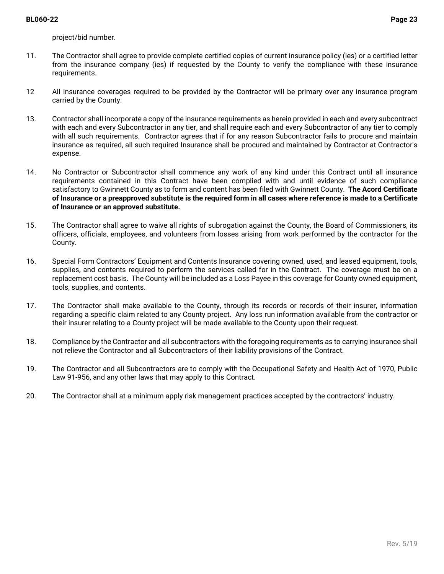project/bid number.

- 11. The Contractor shall agree to provide complete certified copies of current insurance policy (ies) or a certified letter from the insurance company (ies) if requested by the County to verify the compliance with these insurance requirements.
- 12 All insurance coverages required to be provided by the Contractor will be primary over any insurance program carried by the County.
- 13. Contractor shall incorporate a copy of the insurance requirements as herein provided in each and every subcontract with each and every Subcontractor in any tier, and shall require each and every Subcontractor of any tier to comply with all such requirements. Contractor agrees that if for any reason Subcontractor fails to procure and maintain insurance as required, all such required Insurance shall be procured and maintained by Contractor at Contractor's expense.
- 14. No Contractor or Subcontractor shall commence any work of any kind under this Contract until all insurance requirements contained in this Contract have been complied with and until evidence of such compliance satisfactory to Gwinnett County as to form and content has been filed with Gwinnett County. **The Acord Certificate of Insurance or a preapproved substitute is the required form in all cases where reference is made to a Certificate of Insurance or an approved substitute.**
- 15. The Contractor shall agree to waive all rights of subrogation against the County, the Board of Commissioners, its officers, officials, employees, and volunteers from losses arising from work performed by the contractor for the County.
- 16. Special Form Contractors' Equipment and Contents Insurance covering owned, used, and leased equipment, tools, supplies, and contents required to perform the services called for in the Contract. The coverage must be on a replacement cost basis. The County will be included as a Loss Payee in this coverage for County owned equipment, tools, supplies, and contents.
- 17. The Contractor shall make available to the County, through its records or records of their insurer, information regarding a specific claim related to any County project. Any loss run information available from the contractor or their insurer relating to a County project will be made available to the County upon their request.
- 18. Compliance by the Contractor and all subcontractors with the foregoing requirements as to carrying insurance shall not relieve the Contractor and all Subcontractors of their liability provisions of the Contract.
- 19. The Contractor and all Subcontractors are to comply with the Occupational Safety and Health Act of 1970, Public Law 91-956, and any other laws that may apply to this Contract.
- 20. The Contractor shall at a minimum apply risk management practices accepted by the contractors' industry.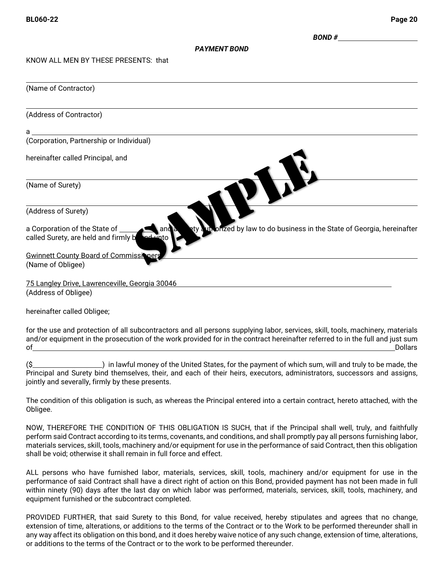*BOND #* 

### *PAYMENT BOND*

KNOW ALL MEN BY THESE PRESENTS: that

| (Name of Contractor)                                                                                                                                                    |
|-------------------------------------------------------------------------------------------------------------------------------------------------------------------------|
| (Address of Contractor)                                                                                                                                                 |
| a                                                                                                                                                                       |
| (Corporation, Partnership or Individual)                                                                                                                                |
| hereinafter called Principal, and                                                                                                                                       |
| (Name of Surety)                                                                                                                                                        |
| (Address of Surety)                                                                                                                                                     |
| un onzed by law to do business in the State of Georgia, hereinafter<br>a Corporation of the State of<br>and<br><u>und un</u> to<br>called Surety, are held and firmly b |
| <b>Gwinnett County Board of Commissioners</b><br>(Name of Obligee)                                                                                                      |
| 75 Langley Drive, Lawrenceville, Georgia 30046<br>(Address of Obligee)                                                                                                  |

hereinafter called Obligee;

for the use and protection of all subcontractors and all persons supplying labor, services, skill, tools, machinery, materials and/or equipment in the prosecution of the work provided for in the contract hereinafter referred to in the full and just sum of Dollars

(\$  $\sim$  ) in lawful money of the United States, for the payment of which sum, will and truly to be made, the Principal and Surety bind themselves, their, and each of their heirs, executors, administrators, successors and assigns, jointly and severally, firmly by these presents.

The condition of this obligation is such, as whereas the Principal entered into a certain contract, hereto attached, with the Obligee.

NOW, THEREFORE THE CONDITION OF THIS OBLIGATION IS SUCH, that if the Principal shall well, truly, and faithfully perform said Contract according to its terms, covenants, and conditions, and shall promptly pay all persons furnishing labor, materials services, skill, tools, machinery and/or equipment for use in the performance of said Contract, then this obligation shall be void; otherwise it shall remain in full force and effect.

ALL persons who have furnished labor, materials, services, skill, tools, machinery and/or equipment for use in the performance of said Contract shall have a direct right of action on this Bond, provided payment has not been made in full within ninety (90) days after the last day on which labor was performed, materials, services, skill, tools, machinery, and equipment furnished or the subcontract completed.

PROVIDED FURTHER, that said Surety to this Bond, for value received, hereby stipulates and agrees that no change, extension of time, alterations, or additions to the terms of the Contract or to the Work to be performed thereunder shall in any way affect its obligation on this bond, and it does hereby waive notice of any such change, extension of time, alterations, or additions to the terms of the Contract or to the work to be performed thereunder.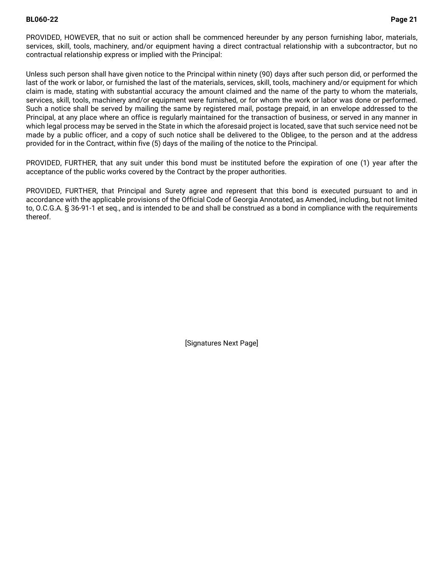### **BL060-22 Page 21**

PROVIDED, HOWEVER, that no suit or action shall be commenced hereunder by any person furnishing labor, materials, services, skill, tools, machinery, and/or equipment having a direct contractual relationship with a subcontractor, but no contractual relationship express or implied with the Principal:

Unless such person shall have given notice to the Principal within ninety (90) days after such person did, or performed the last of the work or labor, or furnished the last of the materials, services, skill, tools, machinery and/or equipment for which claim is made, stating with substantial accuracy the amount claimed and the name of the party to whom the materials, services, skill, tools, machinery and/or equipment were furnished, or for whom the work or labor was done or performed. Such a notice shall be served by mailing the same by registered mail, postage prepaid, in an envelope addressed to the Principal, at any place where an office is regularly maintained for the transaction of business, or served in any manner in which legal process may be served in the State in which the aforesaid project is located, save that such service need not be made by a public officer, and a copy of such notice shall be delivered to the Obligee, to the person and at the address provided for in the Contract, within five (5) days of the mailing of the notice to the Principal.

PROVIDED, FURTHER, that any suit under this bond must be instituted before the expiration of one (1) year after the acceptance of the public works covered by the Contract by the proper authorities.

PROVIDED, FURTHER, that Principal and Surety agree and represent that this bond is executed pursuant to and in accordance with the applicable provisions of the Official Code of Georgia Annotated, as Amended, including, but not limited to, O.C.G.A. § 36-91-1 et seq., and is intended to be and shall be construed as a bond in compliance with the requirements thereof.

[Signatures Next Page]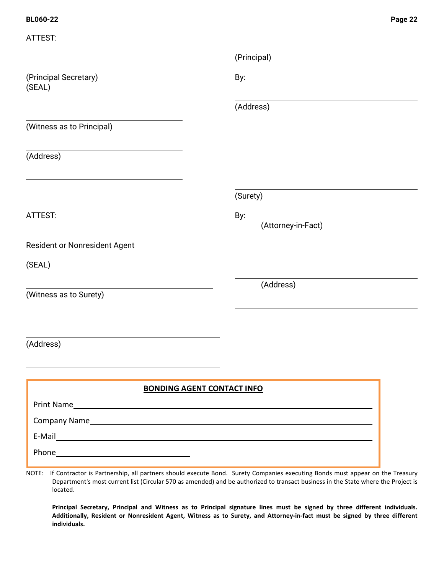| ATTEST:                           |                           |
|-----------------------------------|---------------------------|
|                                   | (Principal)               |
| (Principal Secretary)<br>(SEAL)   | By:                       |
|                                   | (Address)                 |
| (Witness as to Principal)         |                           |
| (Address)                         |                           |
|                                   | (Surety)                  |
| ATTEST:                           | By:<br>(Attorney-in-Fact) |
| Resident or Nonresident Agent     |                           |
| (SEAL)                            |                           |
| (Witness as to Surety)            | (Address)                 |
| (Address)                         |                           |
|                                   |                           |
| <b>BONDING AGENT CONTACT INFO</b> |                           |
|                                   |                           |
| Company Name                      |                           |
|                                   |                           |
|                                   |                           |
|                                   |                           |

NOTE: If Contractor is Partnership, all partners should execute Bond. Surety Companies executing Bonds must appear on the Treasury Department's most current list (Circular 570 as amended) and be authorized to transact business in the State where the Project is located.

**Principal Secretary, Principal and Witness as to Principal signature lines must be signed by three different individuals. Additionally, Resident or Nonresident Agent, Witness as to Surety, and Attorney-in-fact must be signed by three different individuals.**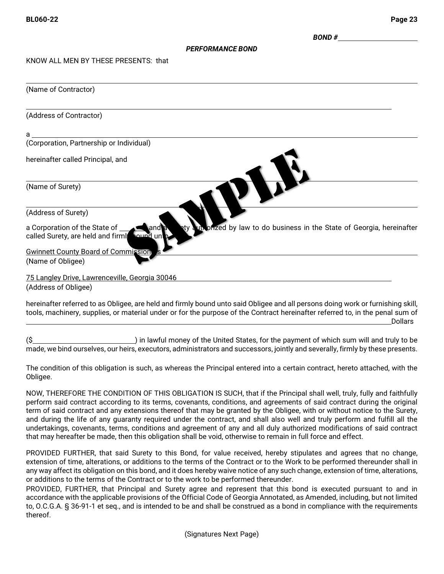*BOND #* 

### *PERFORMANCE BOND*

KNOW ALL MEN BY THESE PRESENTS: that

| (Name of Contractor)                                                                                                                                                  |
|-----------------------------------------------------------------------------------------------------------------------------------------------------------------------|
| (Address of Contractor)                                                                                                                                               |
| a                                                                                                                                                                     |
| (Corporation, Partnership or Individual)                                                                                                                              |
| hereinafter called Principal, and                                                                                                                                     |
| (Name of Surety)                                                                                                                                                      |
| (Address of Surety)                                                                                                                                                   |
| un onzed by law to do business in the State of Georgia, hereinafter<br>a Corporation of the State of<br>land a<br>₽ţλ<br>called Surety, are held and firml<br>aund un |
| <b>Gwinnett County Board of Commission</b>                                                                                                                            |
| (Name of Obligee)                                                                                                                                                     |
| 75 Langley Drive, Lawrenceville, Georgia 30046                                                                                                                        |
| (Address of Obligee)                                                                                                                                                  |
|                                                                                                                                                                       |

hereinafter referred to as Obligee, are held and firmly bound unto said Obligee and all persons doing work or furnishing skill, tools, machinery, supplies, or material under or for the purpose of the Contract hereinafter referred to, in the penal sum of Dollars

(\$ ) in lawful money of the United States, for the payment of which sum will and truly to be made, we bind ourselves, our heirs, executors, administrators and successors, jointly and severally, firmly by these presents.

The condition of this obligation is such, as whereas the Principal entered into a certain contract, hereto attached, with the Obligee.

NOW, THEREFORE THE CONDITION OF THIS OBLIGATION IS SUCH, that if the Principal shall well, truly, fully and faithfully perform said contract according to its terms, covenants, conditions, and agreements of said contract during the original term of said contract and any extensions thereof that may be granted by the Obligee, with or without notice to the Surety, and during the life of any guaranty required under the contract, and shall also well and truly perform and fulfill all the undertakings, covenants, terms, conditions and agreement of any and all duly authorized modifications of said contract that may hereafter be made, then this obligation shall be void, otherwise to remain in full force and effect.

PROVIDED FURTHER, that said Surety to this Bond, for value received, hereby stipulates and agrees that no change, extension of time, alterations, or additions to the terms of the Contract or to the Work to be performed thereunder shall in any way affect its obligation on this bond, and it does hereby waive notice of any such change, extension of time, alterations, or additions to the terms of the Contract or to the work to be performed thereunder.

PROVIDED, FURTHER, that Principal and Surety agree and represent that this bond is executed pursuant to and in accordance with the applicable provisions of the Official Code of Georgia Annotated, as Amended, including, but not limited to, O.C.G.A. § 36-91-1 et seq., and is intended to be and shall be construed as a bond in compliance with the requirements thereof.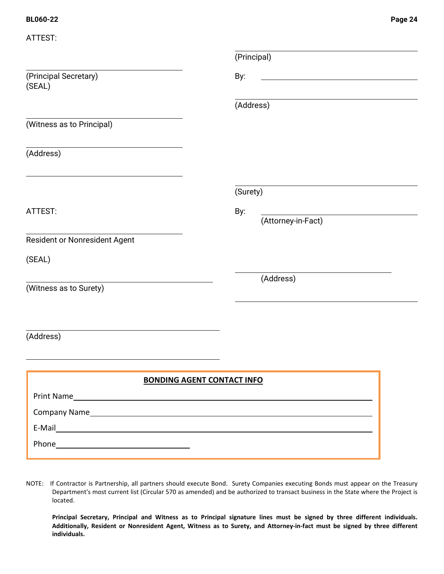| ATTEST:                         |                                   |
|---------------------------------|-----------------------------------|
|                                 | (Principal)                       |
| (Principal Secretary)<br>(SEAL) | By:                               |
|                                 | (Address)                         |
| (Witness as to Principal)       |                                   |
| (Address)                       |                                   |
|                                 | (Surety)                          |
| ATTEST:                         | By:<br>(Attorney-in-Fact)         |
| Resident or Nonresident Agent   |                                   |
| (SEAL)                          |                                   |
| (Witness as to Surety)          | (Address)                         |
|                                 |                                   |
| (Address)                       |                                   |
|                                 |                                   |
|                                 | <b>BONDING AGENT CONTACT INFO</b> |
|                                 |                                   |
| Company Name                    |                                   |
|                                 |                                   |
|                                 |                                   |

NOTE: If Contractor is Partnership, all partners should execute Bond. Surety Companies executing Bonds must appear on the Treasury Department's most current list (Circular 570 as amended) and be authorized to transact business in the State where the Project is located.

**Principal Secretary, Principal and Witness as to Principal signature lines must be signed by three different individuals. Additionally, Resident or Nonresident Agent, Witness as to Surety, and Attorney-in-fact must be signed by three different individuals.**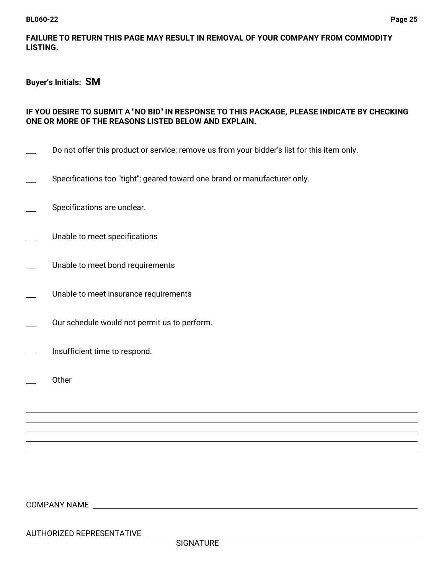## **FAILURE TO RETURN THIS PAGE MAY RESULT IN REMOVAL OF YOUR COMPANY FROM COMMODITY LISTING.**

## **Buyer's Initials: SM**

# **IF YOU DESIRE TO SUBMIT A "NO BID" IN RESPONSE TO THIS PACKAGE, PLEASE INDICATE BY CHECKING ONE OR MORE OF THE REASONS LISTED BELOW AND EXPLAIN.**

- Do not offer this product or service; remove us from your bidder's list for this item only.
- Specifications too "tight"; geared toward one brand or manufacturer only.
- Specifications are unclear.
- Unable to meet specifications
- Unable to meet bond requirements
- Unable to meet insurance requirements
- Our schedule would not permit us to perform.
- Insufficient time to respond.
- **Other**

 $\overline{a}$  $\overline{a}$  $\overline{a}$   $\overline{a}$ 

COMPANY NAME

AUTHORIZED REPRESENTATIVE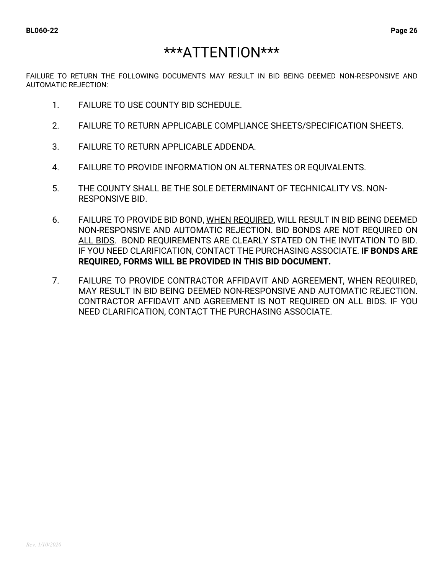# \*\*\*ATTENTION\*\*\*

FAILURE TO RETURN THE FOLLOWING DOCUMENTS MAY RESULT IN BID BEING DEEMED NON-RESPONSIVE AND AUTOMATIC REJECTION:

- 1. FAILURE TO USE COUNTY BID SCHEDULE.
- 2. FAILURE TO RETURN APPLICABLE COMPLIANCE SHEETS/SPECIFICATION SHEETS.
- 3. FAILURE TO RETURN APPLICABLE ADDENDA.
- 4. FAILURE TO PROVIDE INFORMATION ON ALTERNATES OR EQUIVALENTS.
- 5. THE COUNTY SHALL BE THE SOLE DETERMINANT OF TECHNICALITY VS. NON-RESPONSIVE BID.
- 6. FAILURE TO PROVIDE BID BOND, WHEN REQUIRED, WILL RESULT IN BID BEING DEEMED NON-RESPONSIVE AND AUTOMATIC REJECTION. BID BONDS ARE NOT REQUIRED ON ALL BIDS. BOND REQUIREMENTS ARE CLEARLY STATED ON THE INVITATION TO BID. IF YOU NEED CLARIFICATION, CONTACT THE PURCHASING ASSOCIATE. **IF BONDS ARE REQUIRED, FORMS WILL BE PROVIDED IN THIS BID DOCUMENT.**
- 7. FAILURE TO PROVIDE CONTRACTOR AFFIDAVIT AND AGREEMENT, WHEN REQUIRED, MAY RESULT IN BID BEING DEEMED NON-RESPONSIVE AND AUTOMATIC REJECTION. CONTRACTOR AFFIDAVIT AND AGREEMENT IS NOT REQUIRED ON ALL BIDS. IF YOU NEED CLARIFICATION, CONTACT THE PURCHASING ASSOCIATE.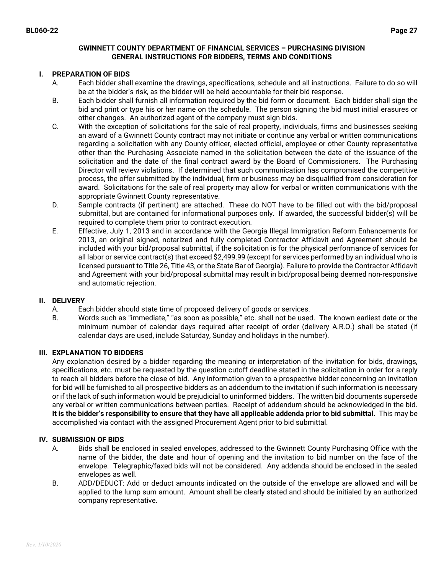### **GWINNETT COUNTY DEPARTMENT OF FINANCIAL SERVICES – PURCHASING DIVISION GENERAL INSTRUCTIONS FOR BIDDERS, TERMS AND CONDITIONS**

### **I. PREPARATION OF BIDS**

- A. Each bidder shall examine the drawings, specifications, schedule and all instructions. Failure to do so will be at the bidder's risk, as the bidder will be held accountable for their bid response.
- B. Each bidder shall furnish all information required by the bid form or document. Each bidder shall sign the bid and print or type his or her name on the schedule. The person signing the bid must initial erasures or other changes. An authorized agent of the company must sign bids.
- C. With the exception of solicitations for the sale of real property, individuals, firms and businesses seeking an award of a Gwinnett County contract may not initiate or continue any verbal or written communications regarding a solicitation with any County officer, elected official, employee or other County representative other than the Purchasing Associate named in the solicitation between the date of the issuance of the solicitation and the date of the final contract award by the Board of Commissioners. The Purchasing Director will review violations. If determined that such communication has compromised the competitive process, the offer submitted by the individual, firm or business may be disqualified from consideration for award. Solicitations for the sale of real property may allow for verbal or written communications with the appropriate Gwinnett County representative.
- D. Sample contracts (if pertinent) are attached. These do NOT have to be filled out with the bid/proposal submittal, but are contained for informational purposes only. If awarded, the successful bidder(s) will be required to complete them prior to contract execution.
- E. Effective, July 1, 2013 and in accordance with the Georgia Illegal Immigration Reform Enhancements for 2013, an original signed, notarized and fully completed Contractor Affidavit and Agreement should be included with your bid/proposal submittal, if the solicitation is for the physical performance of services for all labor or service contract(s) that exceed \$2,499.99 (except for services performed by an individual who is licensed pursuant to Title 26, Title 43, or the State Bar of Georgia). Failure to provide the Contractor Affidavit and Agreement with your bid/proposal submittal may result in bid/proposal being deemed non-responsive and automatic rejection.

### **II. DELIVERY**

- A. Each bidder should state time of proposed delivery of goods or services.
- B. Words such as "immediate," "as soon as possible," etc. shall not be used. The known earliest date or the minimum number of calendar days required after receipt of order (delivery A.R.O.) shall be stated (if calendar days are used, include Saturday, Sunday and holidays in the number).

### **III. EXPLANATION TO BIDDERS**

Any explanation desired by a bidder regarding the meaning or interpretation of the invitation for bids, drawings, specifications, etc. must be requested by the question cutoff deadline stated in the solicitation in order for a reply to reach all bidders before the close of bid. Any information given to a prospective bidder concerning an invitation for bid will be furnished to all prospective bidders as an addendum to the invitation if such information is necessary or if the lack of such information would be prejudicial to uninformed bidders. The written bid documents supersede any verbal or written communications between parties. Receipt of addendum should be acknowledged in the bid. **It is the bidder's responsibility to ensure that they have all applicable addenda prior to bid submittal.** This may be accomplished via contact with the assigned Procurement Agent prior to bid submittal.

### **IV. SUBMISSION OF BIDS**

- A. Bids shall be enclosed in sealed envelopes, addressed to the Gwinnett County Purchasing Office with the name of the bidder, the date and hour of opening and the invitation to bid number on the face of the envelope. Telegraphic/faxed bids will not be considered. Any addenda should be enclosed in the sealed envelopes as well.
- B. ADD/DEDUCT: Add or deduct amounts indicated on the outside of the envelope are allowed and will be applied to the lump sum amount. Amount shall be clearly stated and should be initialed by an authorized company representative.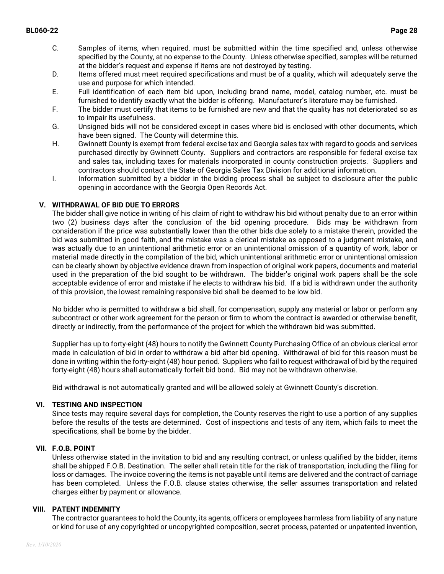- C. Samples of items, when required, must be submitted within the time specified and, unless otherwise specified by the County, at no expense to the County. Unless otherwise specified, samples will be returned at the bidder's request and expense if items are not destroyed by testing.
- D. Items offered must meet required specifications and must be of a quality, which will adequately serve the use and purpose for which intended.
- E. Full identification of each item bid upon, including brand name, model, catalog number, etc. must be furnished to identify exactly what the bidder is offering. Manufacturer's literature may be furnished.
- F. The bidder must certify that items to be furnished are new and that the quality has not deteriorated so as to impair its usefulness.
- G. Unsigned bids will not be considered except in cases where bid is enclosed with other documents, which have been signed. The County will determine this.
- H. Gwinnett County is exempt from federal excise tax and Georgia sales tax with regard to goods and services purchased directly by Gwinnett County. Suppliers and contractors are responsible for federal excise tax and sales tax, including taxes for materials incorporated in county construction projects. Suppliers and contractors should contact the State of Georgia Sales Tax Division for additional information.
- I. Information submitted by a bidder in the bidding process shall be subject to disclosure after the public opening in accordance with the Georgia Open Records Act.

## **V. WITHDRAWAL OF BID DUE TO ERRORS**

The bidder shall give notice in writing of his claim of right to withdraw his bid without penalty due to an error within two (2) business days after the conclusion of the bid opening procedure. Bids may be withdrawn from consideration if the price was substantially lower than the other bids due solely to a mistake therein, provided the bid was submitted in good faith, and the mistake was a clerical mistake as opposed to a judgment mistake, and was actually due to an unintentional arithmetic error or an unintentional omission of a quantity of work, labor or material made directly in the compilation of the bid, which unintentional arithmetic error or unintentional omission can be clearly shown by objective evidence drawn from inspection of original work papers, documents and material used in the preparation of the bid sought to be withdrawn. The bidder's original work papers shall be the sole acceptable evidence of error and mistake if he elects to withdraw his bid. If a bid is withdrawn under the authority of this provision, the lowest remaining responsive bid shall be deemed to be low bid.

No bidder who is permitted to withdraw a bid shall, for compensation, supply any material or labor or perform any subcontract or other work agreement for the person or firm to whom the contract is awarded or otherwise benefit, directly or indirectly, from the performance of the project for which the withdrawn bid was submitted.

Supplier has up to forty-eight (48) hours to notify the Gwinnett County Purchasing Office of an obvious clerical error made in calculation of bid in order to withdraw a bid after bid opening. Withdrawal of bid for this reason must be done in writing within the forty-eight (48) hour period. Suppliers who fail to request withdrawal of bid by the required forty-eight (48) hours shall automatically forfeit bid bond. Bid may not be withdrawn otherwise.

Bid withdrawal is not automatically granted and will be allowed solely at Gwinnett County's discretion.

## **VI. TESTING AND INSPECTION**

Since tests may require several days for completion, the County reserves the right to use a portion of any supplies before the results of the tests are determined. Cost of inspections and tests of any item, which fails to meet the specifications, shall be borne by the bidder.

## **VII. F.O.B. POINT**

Unless otherwise stated in the invitation to bid and any resulting contract, or unless qualified by the bidder, items shall be shipped F.O.B. Destination. The seller shall retain title for the risk of transportation, including the filing for loss or damages. The invoice covering the items is not payable until items are delivered and the contract of carriage has been completed. Unless the F.O.B. clause states otherwise, the seller assumes transportation and related charges either by payment or allowance.

### **VIII. PATENT INDEMNITY**

The contractor guarantees to hold the County, its agents, officers or employees harmless from liability of any nature or kind for use of any copyrighted or uncopyrighted composition, secret process, patented or unpatented invention,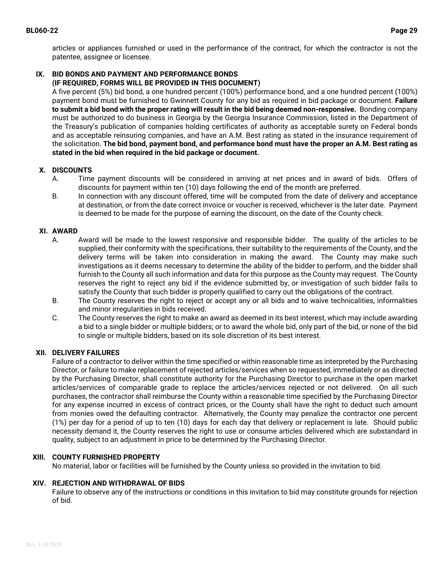articles or appliances furnished or used in the performance of the contract, for which the contractor is not the patentee, assignee or licensee.

#### **IX. BID BONDS AND PAYMENT AND PERFORMANCE BONDS (IF REQUIRED, FORMS WILL BE PROVIDED IN THIS DOCUMENT)**

A five percent (5%) bid bond, a one hundred percent (100%) performance bond, and a one hundred percent (100%) payment bond must be furnished to Gwinnett County for any bid as required in bid package or document. **Failure to submit a bid bond with the proper rating will result in the bid being deemed non-responsive.** Bonding company must be authorized to do business in Georgia by the Georgia Insurance Commission, listed in the Department of the Treasury's publication of companies holding certificates of authority as acceptable surety on Federal bonds and as acceptable reinsuring companies, and have an A.M. Best rating as stated in the insurance requirement of the solicitation. **The bid bond, payment bond, and performance bond must have the proper an A.M. Best rating as stated in the bid when required in the bid package or document.** 

## **X. DISCOUNTS**

- A. Time payment discounts will be considered in arriving at net prices and in award of bids. Offers of discounts for payment within ten (10) days following the end of the month are preferred.
- B. In connection with any discount offered, time will be computed from the date of delivery and acceptance at destination, or from the date correct invoice or voucher is received, whichever is the later date. Payment is deemed to be made for the purpose of earning the discount, on the date of the County check.

## **XI. AWARD**

- A. Award will be made to the lowest responsive and responsible bidder. The quality of the articles to be supplied, their conformity with the specifications, their suitability to the requirements of the County, and the delivery terms will be taken into consideration in making the award. The County may make such investigations as it deems necessary to determine the ability of the bidder to perform, and the bidder shall furnish to the County all such information and data for this purpose as the County may request. The County reserves the right to reject any bid if the evidence submitted by, or investigation of such bidder fails to satisfy the County that such bidder is properly qualified to carry out the obligations of the contract.
- B. The County reserves the right to reject or accept any or all bids and to waive technicalities, informalities and minor irregularities in bids received.
- C. The County reserves the right to make an award as deemed in its best interest, which may include awarding a bid to a single bidder or multiple bidders; or to award the whole bid, only part of the bid, or none of the bid to single or multiple bidders, based on its sole discretion of its best interest.

## **XII. DELIVERY FAILURES**

Failure of a contractor to deliver within the time specified or within reasonable time as interpreted by the Purchasing Director, or failure to make replacement of rejected articles/services when so requested, immediately or as directed by the Purchasing Director, shall constitute authority for the Purchasing Director to purchase in the open market articles/services of comparable grade to replace the articles/services rejected or not delivered. On all such purchases, the contractor shall reimburse the County within a reasonable time specified by the Purchasing Director for any expense incurred in excess of contract prices, or the County shall have the right to deduct such amount from monies owed the defaulting contractor. Alternatively, the County may penalize the contractor one percent (1%) per day for a period of up to ten (10) days for each day that delivery or replacement is late. Should public necessity demand it, the County reserves the right to use or consume articles delivered which are substandard in quality, subject to an adjustment in price to be determined by the Purchasing Director.

## **XIII. COUNTY FURNISHED PROPERTY**

No material, labor or facilities will be furnished by the County unless so provided in the invitation to bid.

## **XIV. REJECTION AND WITHDRAWAL OF BIDS**

Failure to observe any of the instructions or conditions in this invitation to bid may constitute grounds for rejection of bid.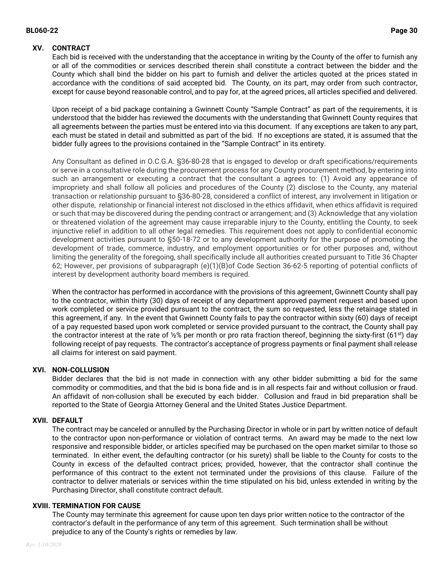### **BL060-22 Page 30**

## **XV. CONTRACT**

Each bid is received with the understanding that the acceptance in writing by the County of the offer to furnish any or all of the commodities or services described therein shall constitute a contract between the bidder and the County which shall bind the bidder on his part to furnish and deliver the articles quoted at the prices stated in accordance with the conditions of said accepted bid. The County, on its part, may order from such contractor, except for cause beyond reasonable control, and to pay for, at the agreed prices, all articles specified and delivered.

Upon receipt of a bid package containing a Gwinnett County "Sample Contract" as part of the requirements, it is understood that the bidder has reviewed the documents with the understanding that Gwinnett County requires that all agreements between the parties must be entered into via this document. If any exceptions are taken to any part, each must be stated in detail and submitted as part of the bid. If no exceptions are stated, it is assumed that the bidder fully agrees to the provisions contained in the "Sample Contract" in its entirety.

Any Consultant as defined in O.C.G.A. §36-80-28 that is engaged to develop or draft specifications/requirements or serve in a consultative role during the procurement process for any County procurement method, by entering into such an arrangement or executing a contract that the consultant a agrees to: (1) Avoid any appearance of impropriety and shall follow all policies and procedures of the County (2) disclose to the County, any material transaction or relationship pursuant to §36-80-28, considered a conflict of interest, any involvement in litigation or other dispute, relationship or financial interest not disclosed in the ethics affidavit, when ethics affidavit is required or such that may be discovered during the pending contract or arrangement; and (3) Acknowledge that any violation or threatened violation of the agreement may cause irreparable injury to the County, entitling the County, to seek injunctive relief in addition to all other legal remedies. This requirement does not apply to confidential economic development activities pursuant to §50-18-72 or to any development authority for the purpose of promoting the development of trade, commerce, industry, and employment opportunities or for other purposes and, without limiting the generality of the foregoing, shall specifically include all authorities created pursuant to Title 36 Chapter 62; However, per provisions of subparagraph (e)(1)(B)of Code Section 36-62-5 reporting of potential conflicts of interest by development authority board members is required.

When the contractor has performed in accordance with the provisions of this agreement, Gwinnett County shall pay to the contractor, within thirty (30) days of receipt of any department approved payment request and based upon work completed or service provided pursuant to the contract, the sum so requested, less the retainage stated in this agreement, if any. In the event that Gwinnett County fails to pay the contractor within sixty (60) days of receipt of a pay requested based upon work completed or service provided pursuant to the contract, the County shall pay the contractor interest at the rate of  $\frac{1}{2}$ % per month or pro rata fraction thereof, beginning the sixty-first (61<sup>st</sup>) day following receipt of pay requests. The contractor's acceptance of progress payments or final payment shall release all claims for interest on said payment.

## **XVI. NON-COLLUSION**

Bidder declares that the bid is not made in connection with any other bidder submitting a bid for the same commodity or commodities, and that the bid is bona fide and is in all respects fair and without collusion or fraud. An affidavit of non-collusion shall be executed by each bidder. Collusion and fraud in bid preparation shall be reported to the State of Georgia Attorney General and the United States Justice Department.

## **XVII. DEFAULT**

The contract may be canceled or annulled by the Purchasing Director in whole or in part by written notice of default to the contractor upon non-performance or violation of contract terms. An award may be made to the next low responsive and responsible bidder, or articles specified may be purchased on the open market similar to those so terminated. In either event, the defaulting contractor (or his surety) shall be liable to the County for costs to the County in excess of the defaulted contract prices; provided, however, that the contractor shall continue the performance of this contract to the extent not terminated under the provisions of this clause. Failure of the contractor to deliver materials or services within the time stipulated on his bid, unless extended in writing by the Purchasing Director, shall constitute contract default.

### **XVIII. TERMINATION FOR CAUSE**

The County may terminate this agreement for cause upon ten days prior written notice to the contractor of the contractor's default in the performance of any term of this agreement. Such termination shall be without prejudice to any of the County's rights or remedies by law.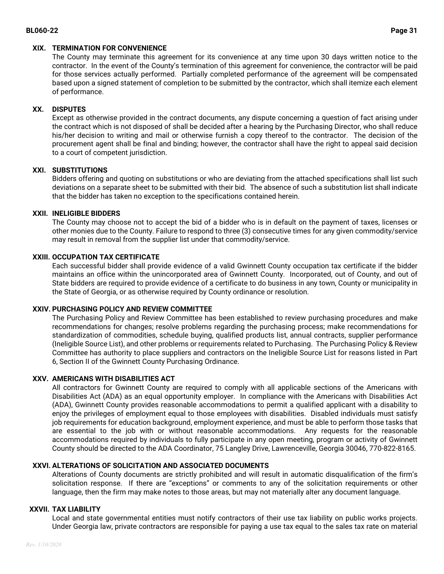## **XIX. TERMINATION FOR CONVENIENCE**

The County may terminate this agreement for its convenience at any time upon 30 days written notice to the contractor. In the event of the County's termination of this agreement for convenience, the contractor will be paid for those services actually performed. Partially completed performance of the agreement will be compensated based upon a signed statement of completion to be submitted by the contractor, which shall itemize each element of performance.

## **XX. DISPUTES**

Except as otherwise provided in the contract documents, any dispute concerning a question of fact arising under the contract which is not disposed of shall be decided after a hearing by the Purchasing Director, who shall reduce his/her decision to writing and mail or otherwise furnish a copy thereof to the contractor. The decision of the procurement agent shall be final and binding; however, the contractor shall have the right to appeal said decision to a court of competent jurisdiction.

## **XXI. SUBSTITUTIONS**

Bidders offering and quoting on substitutions or who are deviating from the attached specifications shall list such deviations on a separate sheet to be submitted with their bid. The absence of such a substitution list shall indicate that the bidder has taken no exception to the specifications contained herein.

## **XXII. INELIGIBLE BIDDERS**

The County may choose not to accept the bid of a bidder who is in default on the payment of taxes, licenses or other monies due to the County. Failure to respond to three (3) consecutive times for any given commodity/service may result in removal from the supplier list under that commodity/service.

## **XXIII. OCCUPATION TAX CERTIFICATE**

Each successful bidder shall provide evidence of a valid Gwinnett County occupation tax certificate if the bidder maintains an office within the unincorporated area of Gwinnett County. Incorporated, out of County, and out of State bidders are required to provide evidence of a certificate to do business in any town, County or municipality in the State of Georgia, or as otherwise required by County ordinance or resolution.

## **XXIV. PURCHASING POLICY AND REVIEW COMMITTEE**

The Purchasing Policy and Review Committee has been established to review purchasing procedures and make recommendations for changes; resolve problems regarding the purchasing process; make recommendations for standardization of commodities, schedule buying, qualified products list, annual contracts, supplier performance (Ineligible Source List), and other problems or requirements related to Purchasing. The Purchasing Policy & Review Committee has authority to place suppliers and contractors on the Ineligible Source List for reasons listed in Part 6, Section II of the Gwinnett County Purchasing Ordinance.

## **XXV. AMERICANS WITH DISABILITIES ACT**

All contractors for Gwinnett County are required to comply with all applicable sections of the Americans with Disabilities Act (ADA) as an equal opportunity employer. In compliance with the Americans with Disabilities Act (ADA), Gwinnett County provides reasonable accommodations to permit a qualified applicant with a disability to enjoy the privileges of employment equal to those employees with disabilities. Disabled individuals must satisfy job requirements for education background, employment experience, and must be able to perform those tasks that are essential to the job with or without reasonable accommodations. Any requests for the reasonable accommodations required by individuals to fully participate in any open meeting, program or activity of Gwinnett County should be directed to the ADA Coordinator, 75 Langley Drive, Lawrenceville, Georgia 30046, 770-822-8165.

## **XXVI. ALTERATIONS OF SOLICITATION AND ASSOCIATED DOCUMENTS**

Alterations of County documents are strictly prohibited and will result in automatic disqualification of the firm's solicitation response. If there are "exceptions" or comments to any of the solicitation requirements or other language, then the firm may make notes to those areas, but may not materially alter any document language.

## **XXVII. TAX LIABILITY**

Local and state governmental entities must notify contractors of their use tax liability on public works projects. Under Georgia law, private contractors are responsible for paying a use tax equal to the sales tax rate on material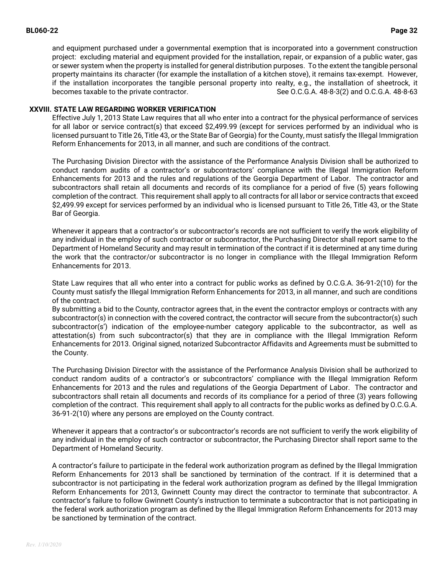and equipment purchased under a governmental exemption that is incorporated into a government construction project: excluding material and equipment provided for the installation, repair, or expansion of a public water, gas or sewer system when the property is installed for general distribution purposes. To the extent the tangible personal property maintains its character (for example the installation of a kitchen stove), it remains tax-exempt. However, if the installation incorporates the tangible personal property into realty, e.g., the installation of sheetrock, it becomes taxable to the private contractor. See O.C.G.A. 48-8-3(2) and O.C.G.A. 48-8-63

### **XXVIII. STATE LAW REGARDING WORKER VERIFICATION**

Effective July 1, 2013 State Law requires that all who enter into a contract for the physical performance of services for all labor or service contract(s) that exceed \$2,499.99 (except for services performed by an individual who is licensed pursuant to Title 26, Title 43, or the State Bar of Georgia) for the County, must satisfy the Illegal Immigration Reform Enhancements for 2013, in all manner, and such are conditions of the contract.

The Purchasing Division Director with the assistance of the Performance Analysis Division shall be authorized to conduct random audits of a contractor's or subcontractors' compliance with the Illegal Immigration Reform Enhancements for 2013 and the rules and regulations of the Georgia Department of Labor. The contractor and subcontractors shall retain all documents and records of its compliance for a period of five (5) years following completion of the contract. This requirement shall apply to all contracts for all labor or service contracts that exceed \$2,499.99 except for services performed by an individual who is licensed pursuant to Title 26, Title 43, or the State Bar of Georgia.

Whenever it appears that a contractor's or subcontractor's records are not sufficient to verify the work eligibility of any individual in the employ of such contractor or subcontractor, the Purchasing Director shall report same to the Department of Homeland Security and may result in termination of the contract if it is determined at any time during the work that the contractor/or subcontractor is no longer in compliance with the Illegal Immigration Reform Enhancements for 2013.

State Law requires that all who enter into a contract for public works as defined by O.C.G.A. 36-91-2(10) for the County must satisfy the Illegal Immigration Reform Enhancements for 2013, in all manner, and such are conditions of the contract.

By submitting a bid to the County, contractor agrees that, in the event the contractor employs or contracts with any subcontractor(s) in connection with the covered contract, the contractor will secure from the subcontractor(s) such subcontractor(s') indication of the employee-number category applicable to the subcontractor, as well as attestation(s) from such subcontractor(s) that they are in compliance with the Illegal Immigration Reform Enhancements for 2013. Original signed, notarized Subcontractor Affidavits and Agreements must be submitted to the County.

The Purchasing Division Director with the assistance of the Performance Analysis Division shall be authorized to conduct random audits of a contractor's or subcontractors' compliance with the Illegal Immigration Reform Enhancements for 2013 and the rules and regulations of the Georgia Department of Labor. The contractor and subcontractors shall retain all documents and records of its compliance for a period of three (3) years following completion of the contract. This requirement shall apply to all contracts for the public works as defined by O.C.G.A. 36-91-2(10) where any persons are employed on the County contract.

Whenever it appears that a contractor's or subcontractor's records are not sufficient to verify the work eligibility of any individual in the employ of such contractor or subcontractor, the Purchasing Director shall report same to the Department of Homeland Security.

A contractor's failure to participate in the federal work authorization program as defined by the Illegal Immigration Reform Enhancements for 2013 shall be sanctioned by termination of the contract. If it is determined that a subcontractor is not participating in the federal work authorization program as defined by the Illegal Immigration Reform Enhancements for 2013, Gwinnett County may direct the contractor to terminate that subcontractor. A contractor's failure to follow Gwinnett County's instruction to terminate a subcontractor that is not participating in the federal work authorization program as defined by the Illegal Immigration Reform Enhancements for 2013 may be sanctioned by termination of the contract.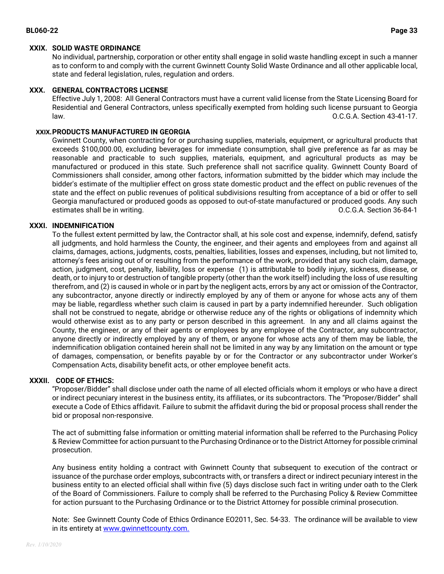### **XXIX. SOLID WASTE ORDINANCE**

No individual, partnership, corporation or other entity shall engage in solid waste handling except in such a manner as to conform to and comply with the current Gwinnett County Solid Waste Ordinance and all other applicable local, state and federal legislation, rules, regulation and orders.

### **XXX. GENERAL CONTRACTORS LICENSE**

Effective July 1, 2008: All General Contractors must have a current valid license from the State Licensing Board for Residential and General Contractors, unless specifically exempted from holding such license pursuant to Georgia law. O.C.G.A. Section 43-41-17.

## **XXIX.PRODUCTS MANUFACTURED IN GEORGIA**

Gwinnett County, when contracting for or purchasing supplies, materials, equipment, or agricultural products that exceeds \$100,000.00, excluding beverages for immediate consumption, shall give preference as far as may be reasonable and practicable to such supplies, materials, equipment, and agricultural products as may be manufactured or produced in this state. Such preference shall not sacrifice quality. Gwinnett County Board of Commissioners shall consider, among other factors, information submitted by the bidder which may include the bidder's estimate of the multiplier effect on gross state domestic product and the effect on public revenues of the state and the effect on public revenues of political subdivisions resulting from acceptance of a bid or offer to sell Georgia manufactured or produced goods as opposed to out-of-state manufactured or produced goods. Any such estimates shall be in writing. O.C.G.A. Section 36-84-1

### **XXXI. INDEMNIFICATION**

To the fullest extent permitted by law, the Contractor shall, at his sole cost and expense, indemnify, defend, satisfy all judgments, and hold harmless the County, the engineer, and their agents and employees from and against all claims, damages, actions, judgments, costs, penalties, liabilities, losses and expenses, including, but not limited to, attorney's fees arising out of or resulting from the performance of the work, provided that any such claim, damage, action, judgment, cost, penalty, liability, loss or expense (1) is attributable to bodily injury, sickness, disease, or death, or to injury to or destruction of tangible property (other than the work itself) including the loss of use resulting therefrom, and (2) is caused in whole or in part by the negligent acts, errors by any act or omission of the Contractor, any subcontractor, anyone directly or indirectly employed by any of them or anyone for whose acts any of them may be liable, regardless whether such claim is caused in part by a party indemnified hereunder. Such obligation shall not be construed to negate, abridge or otherwise reduce any of the rights or obligations of indemnity which would otherwise exist as to any party or person described in this agreement. In any and all claims against the County, the engineer, or any of their agents or employees by any employee of the Contractor, any subcontractor, anyone directly or indirectly employed by any of them, or anyone for whose acts any of them may be liable, the indemnification obligation contained herein shall not be limited in any way by any limitation on the amount or type of damages, compensation, or benefits payable by or for the Contractor or any subcontractor under Worker's Compensation Acts, disability benefit acts, or other employee benefit acts.

### **XXXII. CODE OF ETHICS:**

"Proposer/Bidder" shall disclose under oath the name of all elected officials whom it employs or who have a direct or indirect pecuniary interest in the business entity, its affiliates, or its subcontractors. The "Proposer/Bidder" shall execute a Code of Ethics affidavit. Failure to submit the affidavit during the bid or proposal process shall render the bid or proposal non-responsive.

The act of submitting false information or omitting material information shall be referred to the Purchasing Policy & Review Committee for action pursuant to the Purchasing Ordinance or to the District Attorney for possible criminal prosecution.

Any business entity holding a contract with Gwinnett County that subsequent to execution of the contract or issuance of the purchase order employs, subcontracts with, or transfers a direct or indirect pecuniary interest in the business entity to an elected official shall within five (5) days disclose such fact in writing under oath to the Clerk of the Board of Commissioners. Failure to comply shall be referred to the Purchasing Policy & Review Committee for action pursuant to the Purchasing Ordinance or to the District Attorney for possible criminal prosecution.

Note: See Gwinnett County Code of Ethics Ordinance EO2011, Sec. 54-33. The ordinance will be available to view in its entirety a[t www.gwinnettcounty.com.](http://www.gwinnettcounty.com/)